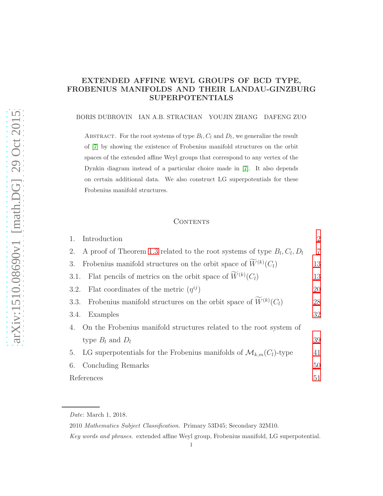### EXTENDED AFFINE WEYL GROUPS OF BCD TYPE, FROBENIUS MANIFOLDS AND THEIR LANDAU-GINZBURG SUPERPOTENTIALS

#### BORIS DUBROVIN IAN A.B. STRACHAN YOUJIN ZHANG DAFENG ZUO

ABSTRACT. For the root systems of type  $B_l, C_l$  and  $D_l$ , we generalize the result of [\[7\]](#page-51-0) by showing the existence of Frobenius manifold structures on the orbit spaces of the extended affine Weyl groups that correspond to any vertex of the Dynkin diagram instead of a particular choice made in [\[7\]](#page-51-0). It also depends on certain additional data. We also construct LG superpotentials for these Frobenius manifold structures.

### **CONTENTS**

| 1.   | Introduction                                                                     | $\overline{2}$ |
|------|----------------------------------------------------------------------------------|----------------|
| 2.   | A proof of Theorem 1.3 related to the root systems of type $B_l, C_l, D_l$       | $\overline{7}$ |
| 3.   | Frobenius manifold structures on the orbit space of $W^{(k)}(C_l)$               | 13             |
|      | 3.1. Flat pencils of metrics on the orbit space of $\overline{W}^{(k)}(C_l)$     | 13             |
|      | 3.2. Flat coordinates of the metric $(\eta^{ij})$                                | 20             |
| 3.3. | Frobenius manifold structures on the orbit space of $W^{(k)}(C_l)$               | 28             |
| 3.4. | Examples                                                                         | 32             |
|      | 4. On the Frobenius manifold structures related to the root system of            |                |
|      | type $B_l$ and $D_l$                                                             | 39             |
| 5.   | LG superpotentials for the Frobenius manifolds of $\mathcal{M}_{k,m}(C_l)$ -type | 41             |
| 6.   | Concluding Remarks                                                               | 50             |
|      | References                                                                       |                |
|      |                                                                                  |                |

2010 Mathematics Subject Classification. Primary 53D45; Secondary 32M10.

Key words and phrases. extended affine Weyl group, Frobenius manifold, LG superpotential.

Date: March 1, 2018.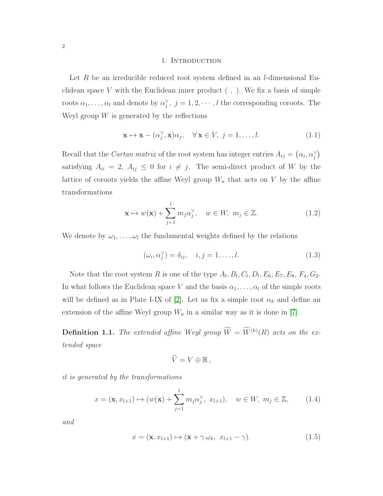#### 1. Introduction

<span id="page-1-0"></span>Let R be an irreducible reduced root system defined in an  $l$ -dimensional Euclidean space  $V$  with the Euclidean inner product  $( , )$ . We fix a basis of simple roots  $\alpha_1, \ldots, \alpha_l$  and denote by  $\alpha_j^{\vee}, j = 1, 2, \cdots, l$  the corresponding coroots. The Weyl group  $W$  is generated by the reflections

$$
\mathbf{x} \mapsto \mathbf{x} - (\alpha_j^{\vee}, \mathbf{x})\alpha_j, \quad \forall \mathbf{x} \in V, \ j = 1, \dots, l.
$$
 (1.1)

Recall that the *Cartan matrix* of the root system has integer entries  $A_{ij} = (\alpha_i, \alpha_j^{\vee})$ satisfying  $A_{ii} = 2$ ,  $A_{ij} \leq 0$  for  $i \neq j$ . The semi-direct product of W by the lattice of coroots yields the affine Weyl group  $W_a$  that acts on V by the affine transformations

$$
\mathbf{x} \mapsto w(\mathbf{x}) + \sum_{j=1}^{l} m_j \alpha_j^{\vee}, \quad w \in W, \ m_j \in \mathbb{Z}.
$$
 (1.2)

We denote by  $\omega_1, \ldots, \omega_l$  the fundamental weights defined by the relations

$$
(\omega_i, \alpha_j^{\vee}) = \delta_{ij}, \quad i, j = 1, \dots, l. \tag{1.3}
$$

Note that the root system R is one of the type  $A_l, B_l, C_l, D_l, E_6, E_7, E_8, F_4, G_2$ . In what follows the Euclidean space V and the basis  $\alpha_1, \ldots, \alpha_l$  of the simple roots will be defined as in Plate I-IX of [\[2\]](#page-51-1). Let us fix a simple root  $\alpha_k$  and define an extension of the affine Weyl group  $W_a$  in a similar way as it is done in [\[7\]](#page-51-0).

**Definition 1.1.** The extended affine Weyl group  $\overline{W} = \overline{W}^{(k)}(R)$  acts on the extended space

$$
\widetilde{V}=V\oplus\mathbb{R}\,,
$$

it is generated by the transformations

$$
x = (\mathbf{x}, x_{l+1}) \mapsto (w(\mathbf{x}) + \sum_{j=1}^{l} m_j \alpha_j^{\vee}, x_{l+1}), \quad w \in W, \ m_j \in \mathbb{Z}, \tag{1.4}
$$

and

$$
x = (\mathbf{x}, x_{l+1}) \mapsto (\mathbf{x} + \gamma \,\omega_k, \ x_{l+1} - \gamma). \tag{1.5}
$$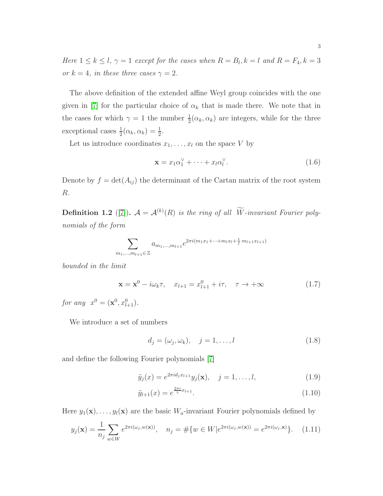Here  $1 \leq k \leq l$ ,  $\gamma = 1$  except for the cases when  $R = B_l$ ,  $k = l$  and  $R = F_4$ ,  $k = 3$ or  $k = 4$ , in these three cases  $\gamma = 2$ .

The above definition of the extended affine Weyl group coincides with the one given in [\[7\]](#page-51-0) for the particular choice of  $\alpha_k$  that is made there. We note that in the cases for which  $\gamma = 1$  the number  $\frac{1}{2}(\alpha_k, \alpha_k)$  are integers, while for the three exceptional cases  $\frac{1}{2}(\alpha_k, \alpha_k) = \frac{1}{2}$ .

Let us introduce coordinates  $x_1, \ldots, x_l$  on the space V by

$$
\mathbf{x} = x_1 \alpha_1^{\vee} + \dots + x_l \alpha_l^{\vee}.
$$
 (1.6)

Denote by  $f = det(A_{ij})$  the determinant of the Cartan matrix of the root system R.

**Definition 1.2** ([\[7\]](#page-51-0)).  $A = A^{(k)}(R)$  is the ring of all W-invariant Fourier polynomials of the form

$$
\sum_{m_1,\dots,m_{l+1}\in\mathbb{Z}} a_{m_1,\dots,m_{l+1}} e^{2\pi i(m_1x_1+\dots+m_lx_l+\frac{1}{f}m_{l+1}x_{l+1})}
$$

bounded in the limit

<span id="page-2-3"></span>
$$
\mathbf{x} = \mathbf{x}^0 - i\omega_k \tau, \quad x_{l+1} = x_{l+1}^0 + i\tau, \quad \tau \to +\infty \tag{1.7}
$$

for any  $x^0 = (\mathbf{x}^0, x_{l+1}^0)$ .

We introduce a set of numbers

<span id="page-2-1"></span>
$$
d_j = (\omega_j, \omega_k), \quad j = 1, \dots, l \tag{1.8}
$$

and define the following Fourier polynomials [\[7\]](#page-51-0)

<span id="page-2-0"></span>
$$
\tilde{y}_j(x) = e^{2\pi i d_j x_{l+1}} y_j(\mathbf{x}), \quad j = 1, ..., l,
$$
\n(1.9)

$$
\tilde{y}_{l+1}(x) = e^{\frac{2\pi i}{\gamma}x_{l+1}}.
$$
\n(1.10)

Here  $y_1(\mathbf{x}), \ldots, y_l(\mathbf{x})$  are the basic  $W_a$ -invariant Fourier polynomials defined by

<span id="page-2-2"></span>
$$
y_j(\mathbf{x}) = \frac{1}{n_j} \sum_{w \in W} e^{2\pi i(\omega_j, w(\mathbf{x}))}, \quad n_j = \# \{ w \in W | e^{2\pi i(\omega_j, w(\mathbf{x}))} = e^{2\pi i(\omega_j, \mathbf{x})} \}. \tag{1.11}
$$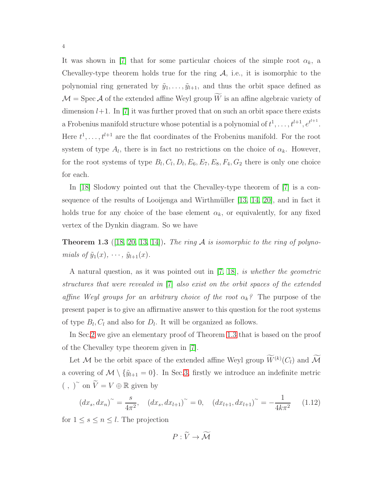It was shown in [\[7\]](#page-51-0) that for some particular choices of the simple root  $\alpha_k$ , a Chevalley-type theorem holds true for the ring  $A$ , i.e., it is isomorphic to the polynomial ring generated by  $\tilde{y}_1, \ldots, \tilde{y}_{l+1}$ , and thus the orbit space defined as  $\mathcal{M} = \text{Spec } \mathcal{A}$  of the extended affine Weyl group  $\widetilde{W}$  is an affine algebraic variety of dimension  $l+1$ . In [\[7\]](#page-51-0) it was further proved that on such an orbit space there exists a Frobenius manifold structure whose potential is a polynomial of  $t^1, \ldots, t^{l+1}, e^{t^{l+1}}$ . Here  $t^1, \ldots, t^{l+1}$  are the flat coordinates of the Frobenius manifold. For the root system of type  $A_l$ , there is in fact no restrictions on the choice of  $\alpha_k$ . However, for the root systems of type  $B_l, C_l, D_l, E_6, E_7, E_8, F_4, G_2$  there is only one choice for each.

In [\[18\]](#page-51-2) Slodowy pointed out that the Chevalley-type theorem of [\[7\]](#page-51-0) is a consequence of the results of Looijenga and Wirthmüller  $[13, 14, 20]$  $[13, 14, 20]$  $[13, 14, 20]$ , and in fact it holds true for any choice of the base element  $\alpha_k$ , or equivalently, for any fixed vertex of the Dynkin diagram. So we have

<span id="page-3-0"></span>**Theorem 1.3** ([\[18,](#page-51-2) [20,](#page-52-0) [13,](#page-51-3) [14\]](#page-51-4)). The ring A is isomorphic to the ring of polynomials of  $\tilde{y}_1(x), \cdots, \tilde{y}_{l+1}(x)$ .

A natural question, as it was pointed out in [\[7,](#page-51-0) [18\]](#page-51-2), is whether the geometric structures that were revealed in [\[7\]](#page-51-0) also exist on the orbit spaces of the extended affine Weyl groups for an arbitrary choice of the root  $\alpha_k$ ? The purpose of the present paper is to give an affirmative answer to this question for the root systems of type  $B_l, C_l$  and also for  $D_l$ . It will be organized as follows.

In Sec[.2](#page-6-0) we give an elementary proof of Theorem [1.3](#page-3-0) that is based on the proof of the Chevalley type theorem given in [\[7\]](#page-51-0).

Let M be the orbit space of the extended affine Weyl group  $\widetilde{W}^{(k)}(C_l)$  and  $\widetilde{\mathcal{M}}$ a covering of  $\mathcal{M} \setminus {\tilde{y}_{l+1} = 0}$ . In Sec[.3,](#page-12-0) firstly we introduce an indefinite metric (, )<sup>∼</sup> on  $\widetilde{V} = V \oplus \mathbb{R}$  given by

$$
(dx_s, dx_n)^\sim = \frac{s}{4\pi^2}, \quad (dx_s, dx_{l+1})^\sim = 0, \quad (dx_{l+1}, dx_{l+1})^\sim = -\frac{1}{4k\pi^2} \quad (1.12)
$$

for  $1 \leq s \leq n \leq l$ . The projection

 $P \cdot \widetilde{V} \rightarrow \widetilde{M}$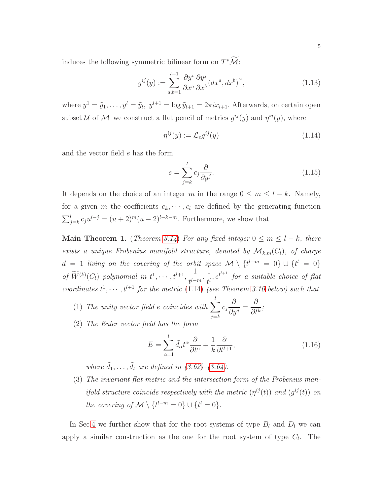induces the following symmetric bilinear form on  $T^*\mathcal{M}$ :

$$
g^{ij}(y) := \sum_{a,b=1}^{l+1} \frac{\partial y^i}{\partial x^a} \frac{\partial y^j}{\partial x^b} (dx^a, dx^b)^\sim,
$$
\n(1.13)

where  $y^1 = \tilde{y}_1, \ldots, y^l = \tilde{y}_l, y^{l+1} = \log \tilde{y}_{l+1} = 2\pi i x_{l+1}$ . Afterwards, on certain open subset U of M we construct a flat pencil of metrics  $g^{ij}(y)$  and  $\eta^{ij}(y)$ , where

<span id="page-4-0"></span>
$$
\eta^{ij}(y) := \mathcal{L}_e g^{ij}(y) \tag{1.14}
$$

and the vector field e has the form

$$
e = \sum_{j=k}^{l} c_j \frac{\partial}{\partial y^j}.
$$
\n(1.15)

It depends on the choice of an integer m in the range  $0 \le m \le l - k$ . Namely, for a given m the coefficients  $c_k, \dots, c_l$  are defined by the generating function  $\sum_{j=k}^{l} c_j u^{l-j} = (u+2)^m (u-2)^{l-k-m}$ . Furthermore, we show that

Main Theorem 1. (Theorem [3.14](#page-29-0)) For any fixed integer  $0 \le m \le l - k$ , there exists a unique Frobenius manifold structure, denoted by  $\mathcal{M}_{k,m}(C_l)$ , of charge  $d = 1$  living on the covering of the orbit space  $\mathcal{M} \setminus \{t^{l-m} = 0\} \cup \{t^l = 0\}$ of  $\widetilde{W}^{(k)}(C_l)$  polynomial in  $t^1, \cdots, t^{l+1}, \frac{1}{t^{l-1}}$  $\frac{1}{t^{l-m}}, \frac{1}{t^l}$  $\frac{1}{t^l}$ ,  $e^{t^{l+1}}$  for a suitable choice of flat coordinates  $t^1, \dots, t^{l+1}$  for the metric [\(1.14\)](#page-4-0) (see Theorem [3.10](#page-24-0) below) such that

- (1) The unity vector field e coincides with  $\sum_{n=1}^l$  $j=k$  $c_j$ ∂  $\frac{\partial}{\partial y^j} =$ ∂  $\frac{\partial}{\partial t^k}$ ;
- (2) The Euler vector field has the form

$$
E = \sum_{\alpha=1}^{l} \tilde{d}_{\alpha} t^{\alpha} \frac{\partial}{\partial t^{\alpha}} + \frac{1}{k} \frac{\partial}{\partial t^{l+1}},\tag{1.16}
$$

where  $\tilde{d}_1, \ldots, \tilde{d}_l$  are defined in  $(3.62)$ – $(3.64)$ .

(3) The invariant flat metric and the intersection form of the Frobenius manifold structure coincide respectively with the metric  $(\eta^{ij}(t))$  and  $(g^{ij}(t))$  on the covering of  $\mathcal{M} \setminus \{t^{l-m} = 0\} \cup \{t^l = 0\}.$ 

In Sec[.4](#page-38-0) we further show that for the root systems of type  $B_l$  and  $D_l$  we can apply a similar construction as the one for the root system of type  $C_l$ . The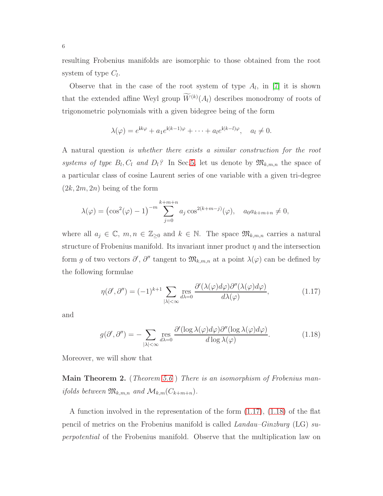resulting Frobenius manifolds are isomorphic to those obtained from the root system of type  $C_l$ .

Observe that in the case of the root system of type  $A_l$ , in [\[7\]](#page-51-0) it is shown that the extended affine Weyl group  $W^{(k)}(A_l)$  describes monodromy of roots of trigonometric polynomials with a given bidegree being of the form

$$
\lambda(\varphi) = e^{\mathbf{i}k\varphi} + a_1 e^{\mathbf{i}(k-1)\varphi} + \dots + a_l e^{\mathbf{i}(k-l)\varphi}, \quad a_l \neq 0.
$$

A natural question is whether there exists a similar construction for the root systems of type  $B_l, C_l$  and  $D_l$ ? In Sec[.5,](#page-40-0) let us denote by  $\mathfrak{M}_{k,m,n}$  the space of a particular class of cosine Laurent series of one variable with a given tri-degree  $(2k, 2m, 2n)$  being of the form

$$
\lambda(\varphi) = (\cos^2(\varphi) - 1)^{-m} \sum_{j=0}^{k+m+n} a_j \cos^{2(k+m-j)}(\varphi), \quad a_0 a_{k+m+n} \neq 0,
$$

where all  $a_j \in \mathbb{C}$ ,  $m, n \in \mathbb{Z}_{\geq 0}$  and  $k \in \mathbb{N}$ . The space  $\mathfrak{M}_{k,m,n}$  carries a natural structure of Frobenius manifold. Its invariant inner product  $\eta$  and the intersection form g of two vectors  $\partial', \partial''$  tangent to  $\mathfrak{M}_{k,m,n}$  at a point  $\lambda(\varphi)$  can be defined by the following formulae

<span id="page-5-0"></span>
$$
\eta(\partial',\partial'') = (-1)^{k+1} \sum_{|\lambda| < \infty} \operatorname{res}_{d\lambda=0} \frac{\partial'(\lambda(\varphi)d\varphi)\partial''(\lambda(\varphi)d\varphi)}{d\lambda(\varphi)},\tag{1.17}
$$

and

<span id="page-5-1"></span>
$$
g(\partial', \partial'') = -\sum_{|\lambda| < \infty} \operatorname{res}_{d\lambda = 0} \frac{\partial'(\log \lambda(\varphi)d\varphi)\partial''(\log \lambda(\varphi)d\varphi)}{d\log \lambda(\varphi)}.\tag{1.18}
$$

Moreover, we will show that

Main Theorem 2. (Theorem [5.6](#page-46-0)) There is an isomorphism of Frobenius manifolds between  $\mathfrak{M}_{k,m,n}$  and  $\mathcal{M}_{k,m}(C_{k+m+n})$ .

A function involved in the representation of the form [\(1.17\)](#page-5-0), [\(1.18\)](#page-5-1) of the flat pencil of metrics on the Frobenius manifold is called Landau–Ginzburg (LG) superpotential of the Frobenius manifold. Observe that the multiplication law on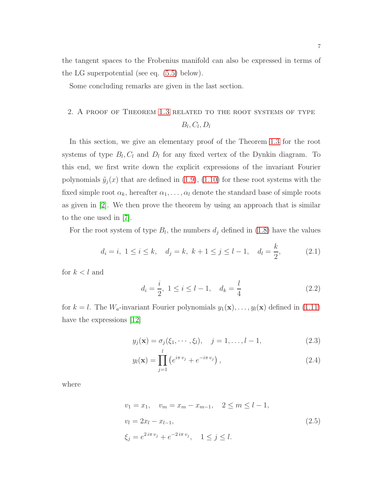the tangent spaces to the Frobenius manifold can also be expressed in terms of the LG superpotential (see eq. [\(5.5\)](#page-41-0) below).

<span id="page-6-0"></span>Some concluding remarks are given in the last section.

### 2. A proof of Theorem [1.3](#page-3-0) related to the root systems of type  $B_l, C_l, D_l$

In this section, we give an elementary proof of the Theorem [1.3](#page-3-0) for the root systems of type  $B_l, C_l$  and  $D_l$  for any fixed vertex of the Dynkin diagram. To this end, we first write down the explicit expressions of the invariant Fourier polynomials  $\tilde{y}_i(x)$  that are defined in [\(1.9\)](#page-2-0), [\(1.10\)](#page-2-0) for these root systems with the fixed simple root  $\alpha_k$ , hereafter  $\alpha_1, \ldots, \alpha_l$  denote the standard base of simple roots as given in [\[2\]](#page-51-1). We then prove the theorem by using an approach that is similar to the one used in [\[7\]](#page-51-0).

For the root system of type  $B_l$ , the numbers  $d_j$  defined in [\(1.8\)](#page-2-1) have the values

<span id="page-6-1"></span>
$$
d_i = i, 1 \le i \le k, \quad d_j = k, \ k+1 \le j \le l-1, \quad d_l = \frac{k}{2},
$$
 (2.1)

for  $k < l$  and

<span id="page-6-2"></span>
$$
d_i = \frac{i}{2}, \ 1 \le i \le l - 1, \quad d_k = \frac{l}{4} \tag{2.2}
$$

for  $k = l$ . The  $W_a$ -invariant Fourier polynomials  $y_1(\mathbf{x}), \ldots, y_l(\mathbf{x})$  defined in [\(1.11\)](#page-2-2) have the expressions [\[12\]](#page-51-5)

<span id="page-6-3"></span>
$$
y_j(\mathbf{x}) = \sigma_j(\xi_1, \cdots, \xi_l), \quad j = 1, \ldots, l-1,
$$
 (2.3)

$$
y_l(\mathbf{x}) = \prod_{j=1}^l \left( e^{i\pi v_j} + e^{-i\pi v_j} \right),\tag{2.4}
$$

where

<span id="page-6-4"></span>
$$
v_1 = x_1, \quad v_m = x_m - x_{m-1}, \quad 2 \le m \le l - 1,
$$
  
\n
$$
v_l = 2x_l - x_{l-1},
$$
  
\n
$$
\xi_j = e^{2i\pi v_j} + e^{-2i\pi v_j}, \quad 1 \le j \le l.
$$
\n(2.5)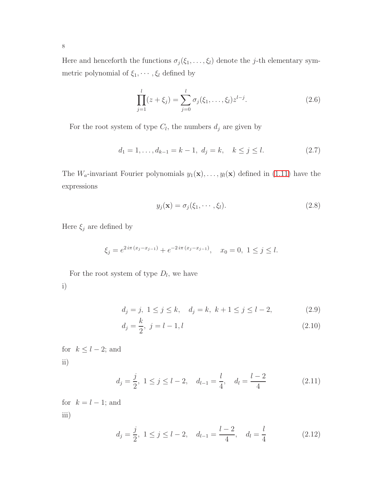Here and henceforth the functions  $\sigma_j(\xi_1, \ldots, \xi_l)$  denote the j-th elementary symmetric polynomial of  $\xi_1, \cdots, \xi_l$  defined by

$$
\prod_{j=1}^{l} (z + \xi_j) = \sum_{j=0}^{l} \sigma_j(\xi_1, \dots, \xi_l) z^{l-j}.
$$
\n(2.6)

For the root system of type  $C_l$ , the numbers  $d_j$  are given by

<span id="page-7-1"></span>
$$
d_1 = 1, \dots, d_{k-1} = k - 1, \ d_j = k, \quad k \le j \le l. \tag{2.7}
$$

The  $W_a$ -invariant Fourier polynomials  $y_1(\mathbf{x}), \ldots, y_l(\mathbf{x})$  defined in [\(1.11\)](#page-2-2) have the expressions

<span id="page-7-0"></span>
$$
y_j(\mathbf{x}) = \sigma_j(\xi_1, \cdots, \xi_l). \tag{2.8}
$$

Here  $\xi_j$  are defined by

$$
\xi_j = e^{2i\pi (x_j - x_{j-1})} + e^{-2i\pi (x_j - x_{j-1})}, \quad x_0 = 0, \ 1 \le j \le l.
$$

For the root system of type  $D_l$ , we have i)

<span id="page-7-2"></span>
$$
d_j = j, \ 1 \le j \le k, \quad d_j = k, \ k+1 \le j \le l-2, \tag{2.9}
$$

$$
d_j = \frac{k}{2}, \ j = l - 1, l \tag{2.10}
$$

for  $k \leq l-2$ ; and ii)

$$
d_j = \frac{j}{2}, 1 \le j \le l-2, \quad d_{l-1} = \frac{l}{4}, \quad d_l = \frac{l-2}{4}
$$
 (2.11)

for  $k = l - 1$ ; and iii)

$$
d_j = \frac{j}{2}, \ 1 \le j \le l-2, \quad d_{l-1} = \frac{l-2}{4}, \quad d_l = \frac{l}{4}
$$
 (2.12)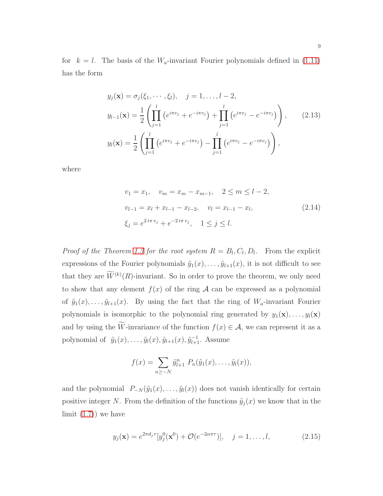for  $k = l$ . The basis of the  $W_a$ -invariant Fourier polynomials defined in [\(1.11\)](#page-2-2) has the form

<span id="page-8-0"></span>
$$
y_j(\mathbf{x}) = \sigma_j(\xi_1, \dots, \xi_l), \quad j = 1, \dots, l-2,
$$
  
\n
$$
y_{l-1}(\mathbf{x}) = \frac{1}{2} \left( \prod_{j=1}^l \left( e^{i\pi v_j} + e^{-i\pi v_j} \right) + \prod_{j=1}^l \left( e^{i\pi v_j} - e^{-i\pi v_j} \right) \right), \quad (2.13)
$$
  
\n
$$
y_l(\mathbf{x}) = \frac{1}{2} \left( \prod_{j=1}^l \left( e^{i\pi v_j} + e^{-i\pi v_j} \right) - \prod_{j=1}^l \left( e^{i\pi v_j} - e^{-i\pi v_j} \right) \right),
$$

where

<span id="page-8-1"></span>
$$
v_1 = x_1, \quad v_m = x_m - x_{m-1}, \quad 2 \le m \le l - 2,
$$
  
\n
$$
v_{l-1} = x_l + x_{l-1} - x_{l-2}, \quad v_l = x_{l-1} - x_l,
$$
  
\n
$$
\xi_j = e^{2i\pi v_j} + e^{-2i\pi v_j}, \quad 1 \le j \le l.
$$
\n(2.14)

*Proof of the Theorem [1.3](#page-3-0) for the root system*  $R = B_l, C_l, D_l$ . From the explicit expressions of the Fourier polynomials  $\tilde{y}_1(x), \ldots, \tilde{y}_{l+1}(x)$ , it is not difficult to see that they are  $W^{(k)}(R)$ -invariant. So in order to prove the theorem, we only need to show that any element  $f(x)$  of the ring A can be expressed as a polynomial of  $\tilde{y}_1(x), \ldots, \tilde{y}_{l+1}(x)$ . By using the fact that the ring of  $W_a$ -invariant Fourier polynomials is isomorphic to the polynomial ring generated by  $y_1(\mathbf{x}), \ldots, y_l(\mathbf{x})$ and by using the W-invariance of the function  $f(x) \in \mathcal{A}$ , we can represent it as a polynomial of  $\tilde{y}_1(x), \ldots, \tilde{y}_l(x), \tilde{y}_{l+1}(x), \tilde{y}_{l+1}^{-1}$ . Assume

$$
f(x) = \sum_{n \geq -N} \tilde{y}_{l+1}^n P_n(\tilde{y}_1(x), \ldots, \tilde{y}_l(x)),
$$

and the polynomial  $P_{-N}(\tilde{y}_1(x),\ldots,\tilde{y}_l(x))$  does not vanish identically for certain positive integer N. From the definition of the functions  $\tilde{y}_j(x)$  we know that in the limit  $(1.7)$  we have

$$
y_j(\mathbf{x}) = e^{2\pi d_j \tau} [y_j^0(\mathbf{x}^0) + \mathcal{O}(e^{-2\alpha \pi \tau})], \quad j = 1, ..., l,
$$
 (2.15)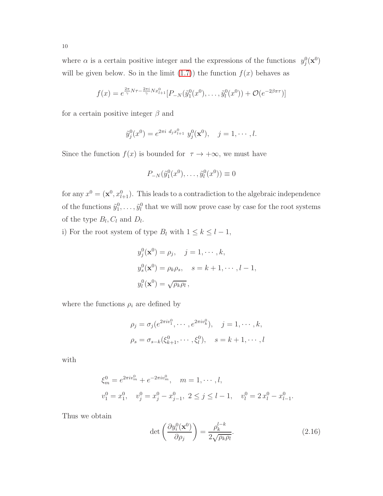where  $\alpha$  is a certain positive integer and the expressions of the functions  $y_j^0(\mathbf{x}^0)$ will be given below. So in the limit  $(1.7)$  the function  $f(x)$  behaves as

$$
f(x) = e^{\frac{2\pi}{\gamma} N \tau - \frac{2\pi i}{\gamma} N x_{l+1}^0} [P_{-N}(\tilde{y}_1^0(x^0), \dots, \tilde{y}_l^0(x^0)) + \mathcal{O}(e^{-2\beta \pi \tau})]
$$

for a certain positive integer  $\beta$  and

$$
\tilde{y}_j^0(x^0) = e^{2\pi i d_j x_{l+1}^0} y_j^0(\mathbf{x}^0), \quad j = 1, \cdots, l.
$$

Since the function  $f(x)$  is bounded for  $\tau \to +\infty$ , we must have

$$
P_{-N}(\tilde{y}_1^0(x^0),\ldots,\tilde{y}_l^0(x^0))\equiv 0
$$

for any  $x^0 = (\mathbf{x}^0, x_{l+1}^0)$ . This leads to a contradiction to the algebraic independence of the functions  $\tilde{y}_1^0, \ldots, \tilde{y}_l^0$  that we will now prove case by case for the root systems of the type  $B_l, C_l$  and  $D_l$ .

i) For the root system of type  $B_l$  with  $1 \leq k \leq l-1$ ,

$$
y_j^0(\mathbf{x}^0) = \rho_j, \quad j = 1, \cdots, k,
$$
  
\n
$$
y_s^0(\mathbf{x}^0) = \rho_k \rho_s, \quad s = k+1, \cdots, l-1,
$$
  
\n
$$
y_l^0(\mathbf{x}^0) = \sqrt{\rho_k \rho_l},
$$

where the functions  $\rho_i$  are defined by

$$
\rho_j = \sigma_j(e^{2\pi i v_1^0}, \cdots, e^{2\pi i v_k^0}), \quad j = 1, \cdots, k,
$$
  

$$
\rho_s = \sigma_{s-k}(\xi_{k+1}^0, \cdots, \xi_l^0), \quad s = k+1, \cdots, l
$$

with

$$
\xi_m^0 = e^{2\pi i v_m^0} + e^{-2\pi i v_m^0}, \quad m = 1, \cdots, l,
$$
  

$$
v_1^0 = x_1^0, \quad v_j^0 = x_j^0 - x_{j-1}^0, \quad 2 \le j \le l-1, \quad v_l^0 = 2x_l^0 - x_{l-1}^0.
$$

Thus we obtain

$$
\det\left(\frac{\partial y_i^0(\mathbf{x}^0)}{\partial \rho_j}\right) = \frac{\rho_k^{l-k}}{2\sqrt{\rho_k \rho_l}}.\tag{2.16}
$$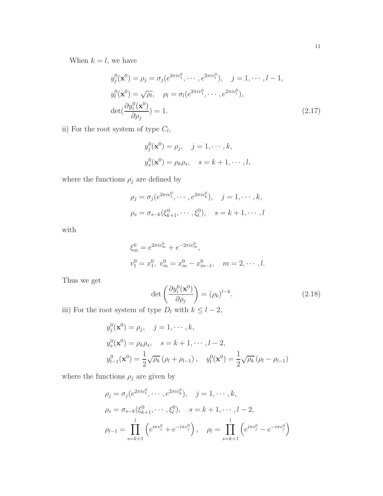When  $k = l$ , we have

$$
y_j^0(\mathbf{x}^0) = \rho_j = \sigma_j(e^{2\pi i v_1^0}, \cdots, e^{2\pi i v_l^0}), \quad j = 1, \cdots, l-1,
$$
  
\n
$$
y_l^0(\mathbf{x}^0) = \sqrt{\rho_l}, \quad \rho_l = \sigma_l(e^{2\pi i v_1^0}, \cdots, e^{2\pi i v_l^0}),
$$
  
\n
$$
\det(\frac{\partial y_i^0(\mathbf{x}^0)}{\partial \rho_j}) = 1.
$$
\n(2.17)

ii) For the root system of type  $C_l$ ,

$$
y_j^0(\mathbf{x}^0) = \rho_j, \quad j = 1, \dots, k,
$$
  
 $y_s^0(\mathbf{x}^0) = \rho_k \rho_s, \quad s = k + 1, \dots, l,$ 

where the functions  $\rho_j$  are defined by

$$
\rho_j = \sigma_j(e^{2\pi i v_1^0}, \cdots, e^{2\pi i v_k^0}), \quad j = 1, \cdots, k,
$$
  

$$
\rho_s = \sigma_{s-k}(\xi_{k+1}^0, \cdots, \xi_l^0), \quad s = k+1, \cdots, l
$$

with

$$
\xi_m^0 = e^{2\pi i v_m^0} + e^{-2\pi i v_m^0},
$$
  

$$
v_1^0 = x_1^0, v_m^0 = x_m^0 - x_{m-1}^0, m = 2, \cdots, l.
$$

Thus we get

$$
\det\left(\frac{\partial y_i^0(\mathbf{x}^0)}{\partial \rho_j}\right) = (\rho_k)^{l-k}.\tag{2.18}
$$

iii) For the root system of type  $D_l$  with  $k \leq l-2$ ,

$$
y_j^0(\mathbf{x}^0) = \rho_j, \quad j = 1, \cdots, k,
$$
  
\n
$$
y_s^0(\mathbf{x}^0) = \rho_k \rho_s, \quad s = k + 1, \cdots, l - 2,
$$
  
\n
$$
y_{l-1}^0(\mathbf{x}^0) = \frac{1}{2} \sqrt{\rho_k} (\rho_l + \rho_{l-1}), \quad y_l^0(\mathbf{x}^0) = \frac{1}{2} \sqrt{\rho_k} (\rho_l - \rho_{l-1})
$$

where the functions  $\rho_j$  are given by

$$
\rho_j = \sigma_j(e^{2\pi i v_1^0}, \cdots, e^{2\pi i v_k^0}), \quad j = 1, \cdots, k,
$$
  
\n
$$
\rho_s = \sigma_{s-k}(\xi_{k+1}^0, \cdots, \xi_l^0), \quad s = k+1, \cdots, l-2,
$$
  
\n
$$
\rho_{l-1} = \prod_{s=k+1}^l \left( e^{i\pi v_j^0} + e^{-i\pi v_j^0} \right), \quad \rho_l = \prod_{s=k+1}^l \left( e^{i\pi v_j^0} - e^{-i\pi v_j^0} \right)
$$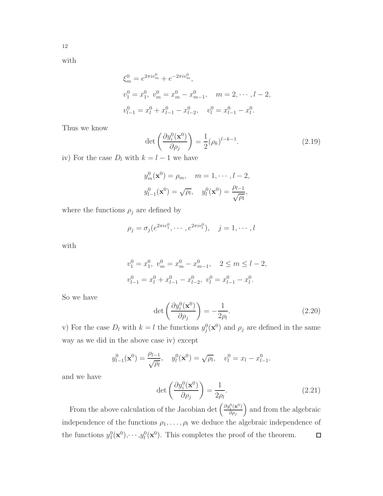with

$$
\xi_m^0 = e^{2\pi i v_m^0} + e^{-2\pi i v_m^0},
$$
  
\n
$$
v_1^0 = x_1^0, \ v_m^0 = x_m^0 - x_{m-1}^0, \quad m = 2, \dots, l-2,
$$
  
\n
$$
v_{l-1}^0 = x_l^0 + x_{l-1}^0 - x_{l-2}^0, \quad v_l^0 = x_{l-1}^0 - x_l^0.
$$

Thus we know

$$
\det\left(\frac{\partial y_i^0(\mathbf{x}^0)}{\partial \rho_j}\right) = \frac{1}{2}(\rho_k)^{l-k-1}.\tag{2.19}
$$

iv) For the case  $D_l$  with  $k = l - 1$  we have

$$
y_m^0(\mathbf{x}^0) = \rho_m, \quad m = 1, \dots, l-2,
$$
  
 $y_{l-1}^0(\mathbf{x}^0) = \sqrt{\rho_l}, \quad y_l^0(\mathbf{x}^0) = \frac{\rho_{l-1}}{\sqrt{\rho_l}},$ 

where the functions  $\rho_j$  are defined by

$$
\rho_j = \sigma_j(e^{2\pi i v_1^0}, \cdots, e^{2\pi i v_l^0}), \quad j = 1, \cdots, l
$$

with

$$
v_1^0 = x_1^0, \ v_m^0 = x_m^0 - x_{m-1}^0, \quad 2 \le m \le l-2,
$$
  

$$
v_{l-1}^0 = x_l^0 + x_{l-1}^0 - x_{l-2}^0, \ v_l^0 = x_{l-1}^0 - x_l^0.
$$

So we have

$$
\det\left(\frac{\partial y_i^0(\mathbf{x}^0)}{\partial \rho_j}\right) = -\frac{1}{2\rho_l}.\tag{2.20}
$$

v) For the case  $D_l$  with  $k = l$  the functions  $y_j^0(\mathbf{x}^0)$  and  $\rho_j$  are defined in the same way as we did in the above case iv) except

$$
y_{l-1}^0(\mathbf{x}^0) = \frac{\rho_{l-1}}{\sqrt{\rho_l}}, \quad y_l^0(\mathbf{x}^0) = \sqrt{\rho_l}, \quad v_l^0 = x_l - x_{l-1}^0.
$$

and we have

$$
\det\left(\frac{\partial y_i^0(\mathbf{x}^0)}{\partial \rho_j}\right) = \frac{1}{2\rho_l}.\tag{2.21}
$$

From the above calculation of the Jacobian det  $\left(\frac{\partial y_i^0(\mathbf{x}^0)}{\partial \alpha}\right)$ ) and from the algebraic  $\partial \rho_j$ independence of the functions  $\rho_1, \ldots, \rho_l$  we deduce the algebraic independence of the functions  $y_1^0(\mathbf{x}^0), \dots, y_l^0(\mathbf{x}^0)$ . This completes the proof of the theorem.  $\Box$ 

12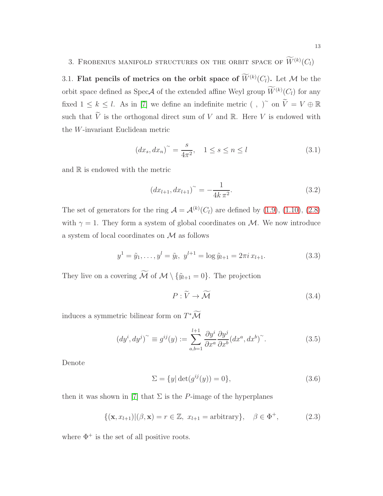## <span id="page-12-1"></span><span id="page-12-0"></span>3. FROBENIUS MANIFOLD STRUCTURES ON THE ORBIT SPACE OF  $W^{(k)}(C_l)$

3.1. Flat pencils of metrics on the orbit space of  $W^{(k)}(C_l)$ . Let M be the orbit space defined as  $Spec A$  of the extended affine Weyl group  $W^{(k)}(C_l)$  for any fixed  $1 \leq k \leq l$ . As in [\[7\]](#page-51-0) we define an indefinite metric (, )<sup>~</sup> on  $\widetilde{V} = V \oplus \mathbb{R}$ such that  $\widetilde{V}$  is the orthogonal direct sum of V and R. Here V is endowed with the W-invariant Euclidean metric

<span id="page-12-3"></span>
$$
(dx_s, dx_n)^\sim = \frac{s}{4\pi^2}, \quad 1 \le s \le n \le l \tag{3.1}
$$

and  $\mathbb R$  is endowed with the metric

<span id="page-12-4"></span>
$$
(dx_{l+1}, dx_{l+1})^{\sim} = -\frac{1}{4k \pi^2}.
$$
\n(3.2)

The set of generators for the ring  $A = A^{(k)}(C_l)$  are defined by [\(1.9\)](#page-2-0), [\(1.10\)](#page-2-0), [\(2.8\)](#page-7-0) with  $\gamma = 1$ . They form a system of global coordinates on M. We now introduce a system of local coordinates on M as follows

$$
y^{1} = \tilde{y}_{1}, \dots, y^{l} = \tilde{y}_{l}, \ y^{l+1} = \log \tilde{y}_{l+1} = 2\pi i \, x_{l+1}.
$$
 (3.3)

They live on a covering  $\widetilde{\mathcal{M}}$  of  $\mathcal{M} \setminus {\{\tilde{y}_{l+1} = 0\}}$ . The projection

$$
P: \widetilde{V} \to \widetilde{\mathcal{M}} \tag{3.4}
$$

induces a symmetric bilinear form on  $T^{\ast}\mathcal{M}$ 

<span id="page-12-2"></span>
$$
(dyi, dyj)~ \equiv gij(y) := \sum_{a,b=1}^{l+1} \frac{\partial y^i}{\partial x^a} \frac{\partial y^j}{\partial x^b} (dx^a, dx^b)^{~}.
$$
 (3.5)

Denote

$$
\Sigma = \{y | \det(g^{ij}(y)) = 0\},\tag{3.6}
$$

then it was shown in [\[7\]](#page-51-0) that  $\Sigma$  is the P-image of the hyperplanes

$$
\{(\mathbf{x}, x_{l+1}) | (\beta, \mathbf{x}) = r \in \mathbb{Z}, \ x_{l+1} = \text{arbitrary}\}, \ \ \beta \in \Phi^+, \tag{2.3}
$$

where  $\Phi^+$  is the set of all positive roots.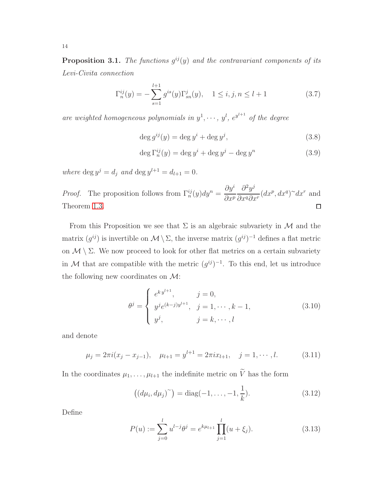**Proposition 3.1.** The functions  $g^{ij}(y)$  and the contravariant components of its Levi-Civita connection

$$
\Gamma_n^{ij}(y) = -\sum_{s=1}^{l+1} g^{is}(y) \Gamma_{sn}^j(y), \quad 1 \le i, j, n \le l+1 \tag{3.7}
$$

are weighted homogeneous polynomials in  $y^1, \dots, y^l, e^{y^{l+1}}$  of the degree

$$
\deg g^{ij}(y) = \deg y^i + \deg y^j,\tag{3.8}
$$

$$
\deg \Gamma_n^{ij}(y) = \deg y^i + \deg y^j - \deg y^n \tag{3.9}
$$

where  $\deg y^j = d_j$  and  $\deg y^{l+1} = d_{l+1} = 0$ .

 $\partial y^i$  $\partial^2 y^j$  $\frac{\partial^2 y}{\partial x^q \partial x^r} (dx^p, dx^q)^\sim dx^r$  and *Proof.* The proposition follows from  $\Gamma_n^{ij}(y)dy^n =$  $\partial x^p$ Theorem [1.3.](#page-3-0)  $\Box$ 

From this Proposition we see that  $\Sigma$  is an algebraic subvariety in M and the matrix  $(g^{ij})$  is invertible on  $\mathcal{M}\setminus\Sigma$ , the inverse matrix  $(g^{ij})^{-1}$  defines a flat metric on  $\mathcal{M} \setminus \Sigma$ . We now proceed to look for other flat metrics on a certain subvariety in M that are compatible with the metric  $(g^{ij})^{-1}$ . To this end, let us introduce the following new coordinates on  $\mathcal{M}$ :

$$
\theta^{j} = \begin{cases} e^{ky^{l+1}}, & j = 0, \\ y^{j} e^{(k-j)y^{l+1}}, & j = 1, \cdots, k-1, \\ y^{j}, & j = k, \cdots, l \end{cases}
$$
 (3.10)

and denote

$$
\mu_j = 2\pi i (x_j - x_{j-1}), \quad \mu_{l+1} = y^{l+1} = 2\pi i x_{l+1}, \quad j = 1, \cdots, l. \tag{3.11}
$$

In the coordinates  $\mu_1, \ldots, \mu_{l+1}$  the indefinite metric on  $\widetilde{V}$  has the form

$$
((d\mu_i, d\mu_j)^{\sim}) = \text{diag}(-1, \dots, -1, \frac{1}{k}).
$$
\n(3.12)

Define

$$
P(u) := \sum_{j=0}^{l} u^{l-j} \theta^j = e^{k\mu_{l+1}} \prod_{j=1}^{l} (u + \xi_j).
$$
 (3.13)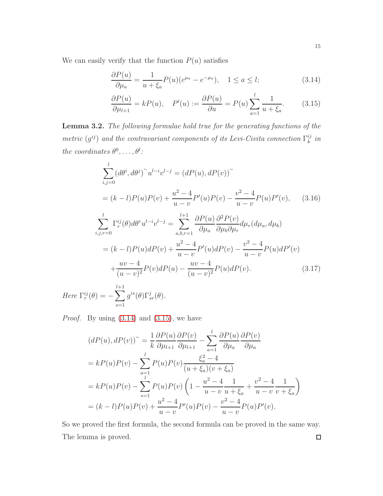We can easily verify that the function  $P(u)$  satisfies

<span id="page-14-0"></span>
$$
\frac{\partial P(u)}{\partial \mu_a} = \frac{1}{u + \xi_a} P(u) (e^{\mu_a} - e^{-\mu_a}), \quad 1 \le a \le l; \tag{3.14}
$$

$$
\frac{\partial P(u)}{\partial \mu_{l+1}} = kP(u), \quad P'(u) := \frac{\partial P(u)}{\partial u} = P(u) \sum_{a=1}^{l} \frac{1}{u + \xi_a}.
$$
 (3.15)

Lemma 3.2. The following formulae hold true for the generating functions of the metric  $(g^{ij})$  and the contravariant components of its Levi-Civita connection  $\Gamma_k^{ij}$  $\frac{ij}{k}$  in the coordinates  $\theta^0, \ldots, \theta^l$ :

<span id="page-14-2"></span><span id="page-14-1"></span>
$$
\sum_{i,j=0}^{l} (d\theta^{i}, d\theta^{j})^{\sim} u^{l-i} v^{l-j} = (dP(u), dP(v))^{\sim}
$$
\n
$$
= (k-l)P(u)P(v) + \frac{u^{2}-4}{u-v} P'(u)P(v) - \frac{v^{2}-4}{u-v} P(u)P'(v), \qquad (3.16)
$$
\n
$$
\sum_{i,j,r=0}^{l} \Gamma_{r}^{ij}(\theta) d\theta^{r} u^{l-i} v^{l-j} = \sum_{a,b,r=1}^{l+1} \frac{\partial P(u)}{\partial \mu_{a}} \frac{\partial^{2} P(v)}{\partial \mu_{b} \partial \mu_{r}} d\mu_{r} (d\mu_{a}, d\mu_{b})
$$
\n
$$
= (k-l)P(u) dP(v) + \frac{u^{2}-4}{u-v} P'(u) dP(v) - \frac{v^{2}-4}{u-v} P(u) dP'(v)
$$
\n
$$
+ \frac{uv-4}{(u-v)^{2}} P(v) dP(u) - \frac{uv-4}{(u-v)^{2}} P(u) dP(v). \qquad (3.17)
$$
\n
$$
\sum_{i,j,r=0}^{l+1} i^{2} \mu_{r}^{i}(x) \nabla_{r}^{i}(x)
$$

Here  $\Gamma_r^{ij}(\theta) = -\sum$  $s=1$  $g^{is}(\theta)\Gamma^j_{sr}(\theta)$ .

*Proof.* By using  $(3.14)$  and  $(3.15)$ , we have

$$
(dP(u), dP(v))^{*} = \frac{1}{k} \frac{\partial P(u)}{\partial \mu_{l+1}} \frac{\partial P(v)}{\partial \mu_{l+1}} - \sum_{a=1}^{l} \frac{\partial P(u)}{\partial \mu_{a}} \frac{\partial P(v)}{\partial \mu_{a}}
$$
  
=  $kP(u)P(v) - \sum_{a=1}^{l} P(u)P(v) \frac{\xi_{a}^{2} - 4}{(u + \xi_{a})(v + \xi_{a})}$   
=  $kP(u)P(v) - \sum_{s=1}^{l} P(u)P(v) \left(1 - \frac{u^{2} - 4}{u - v} \frac{1}{u + \xi_{a}} + \frac{v^{2} - 4}{u - v} \frac{1}{v + \xi_{a}}\right)$   
=  $(k - l)P(u)P(v) + \frac{u^{2} - 4}{u - v}P'(u)P(v) - \frac{v^{2} - 4}{u - v}P(u)P'(v).$ 

So we proved the first formula, the second formula can be proved in the same way. The lemma is proved. $\Box$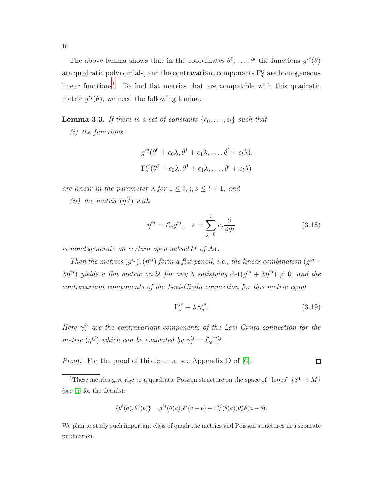The above lemma shows that in the coordinates  $\theta^0, \ldots, \theta^l$  the functions  $g^{ij}(\theta)$ are quadratic polynomials, and the contravariant components  $\Gamma_s^{ij}$  are homogeneous linear functions<sup>[1](#page-15-0)</sup>. To find flat metrics that are compatible with this quadratic metric  $g^{ij}(\theta)$ , we need the following lemma.

<span id="page-15-1"></span>**Lemma 3.3.** If there is a set of constants  $\{c_0, \ldots, c_l\}$  such that

(i) the functions

$$
g^{ij}(\theta^0 + c_0\lambda, \theta^1 + c_1\lambda, \dots, \theta^l + c_l\lambda),
$$
  

$$
\Gamma_s^{ij}(\theta^0 + c_0\lambda, \theta^1 + c_1\lambda, \dots, \theta^l + c_l\lambda)
$$

are linear in the parameter  $\lambda$  for  $1 \leq i, j, s \leq l + 1$ , and

(*ii*) the matrix  $(\eta^{ij})$  with

$$
\eta^{ij} = \mathcal{L}_e g^{ij}, \quad e = \sum_{j=0}^l c_j \frac{\partial}{\partial \theta^j} \tag{3.18}
$$

is nondegenerate on certain open subset  $U$  of  $M$ .

Then the metrics  $(g^{ij})$ ,  $(\eta^{ij})$  form a flat pencil, i.e., the linear combination  $(g^{ij} +$  $\lambda \eta^{ij}$ ) yields a flat metric on U for any  $\lambda$  satisfying  $\det(g^{ij} + \lambda \eta^{ij}) \neq 0$ , and the contravariant components of the Levi-Civita connection for this metric equal

$$
\Gamma_s^{ij} + \lambda \gamma_s^{ij}.\tag{3.19}
$$

Here  $\gamma_s^{ij}$  are the contravariant components of the Levi-Civita connection for the metric  $(\eta^{ij})$  which can be evaluated by  $\gamma_s^{ij} = \mathcal{L}_e \Gamma_s^{ij}$ .

Proof. For the proof of this lemma, see Appendix D of [\[6\]](#page-51-6).  $\Box$ 

<span id="page-15-2"></span>
$$
\{\theta^i(a),\theta^j(b)\}=g^{ij}(\theta(a))\delta'(a-b)+\Gamma^{ij}_s(\theta(a))\theta^s_a\delta(a-b).
$$

We plan to study such important class of quadratic metrics and Poisson structures in a separate publication.

<span id="page-15-0"></span><sup>&</sup>lt;sup>1</sup>These metrics give rise to a quadratic Poisson structure on the space of "loops"  $\{S^1 \to M\}$ (see [\[5\]](#page-51-7) for the details):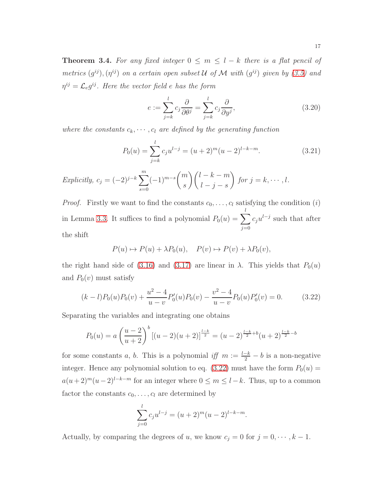**Theorem 3.4.** For any fixed integer  $0 \leq m \leq l - k$  there is a flat pencil of metrics  $(g^{ij})$ ,  $(\eta^{ij})$  on a certain open subset U of M with  $(g^{ij})$  given by [\(3.5\)](#page-12-2) and  $\eta^{ij} = \mathcal{L}_e g^{ij}$ . Here the vector field e has the form

<span id="page-16-1"></span>
$$
e := \sum_{j=k}^{l} c_j \frac{\partial}{\partial \theta^j} = \sum_{j=k}^{l} c_j \frac{\partial}{\partial y^j},
$$
\n(3.20)

where the constants  $c_k, \dots, c_l$  are defined by the generating function

$$
P_0(u) = \sum_{j=k}^{l} c_j u^{l-j} = (u+2)^m (u-2)^{l-k-m}.
$$
 (3.21)

$$
Explicitly, c_j = (-2)^{j-k} \sum_{s=0}^{m} (-1)^{m-s} {m \choose s} {l-k-m \choose l-j-s} \text{ for } j=k, \cdots, l.
$$

*Proof.* Firstly we want to find the constants  $c_0, \ldots, c_l$  satisfying the condition (i) in Lemma [3.3.](#page-15-1) It suffices to find a polynomial  $P_0(u) = \sum_{n=1}^l$  $j=0$  $c_j u^{l-j}$  such that after the shift

$$
P(u) \mapsto P(u) + \lambda P_0(u), \quad P(v) \mapsto P(v) + \lambda P_0(v),
$$

the right hand side of [\(3.16\)](#page-14-1) and [\(3.17\)](#page-14-2) are linear in  $\lambda$ . This yields that  $P_0(u)$ and  $P_0(v)$  must satisfy

<span id="page-16-0"></span>
$$
(k-l)P_0(u)P_0(v) + \frac{u^2 - 4}{u - v}P'_0(u)P_0(v) - \frac{v^2 - 4}{u - v}P_0(u)P'_0(v) = 0.
$$
 (3.22)

Separating the variables and integrating one obtains

$$
P_0(u) = a \left(\frac{u-2}{u+2}\right)^b \left[ (u-2)(u+2) \right]^{\frac{l-k}{2}} = (u-2)^{\frac{l-k}{2}+b} (u+2)^{\frac{l-k}{2}-b}
$$

for some constants a, b. This is a polynomial iff  $m := \frac{l-k}{2} - b$  is a non-negative integer. Hence any polynomial solution to eq.  $(3.22)$  must have the form  $P_0(u)$  =  $a(u+2)^m(u-2)^{l-k-m}$  for an integer where  $0 \le m \le l-k$ . Thus, up to a common factor the constants  $c_0, \ldots, c_l$  are determined by

$$
\sum_{j=0}^{l} c_j u^{l-j} = (u+2)^m (u-2)^{l-k-m}.
$$

Actually, by comparing the degrees of u, we know  $c_j = 0$  for  $j = 0, \dots, k - 1$ .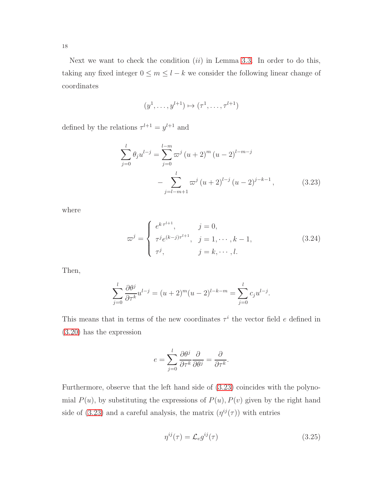Next we want to check the condition  $(ii)$  in Lemma [3.3.](#page-15-1) In order to do this, taking any fixed integer  $0\leq m\leq l-k$  we consider the following linear change of coordinates

$$
(y^1, \dots, y^{l+1}) \mapsto (\tau^1, \dots, \tau^{l+1})
$$

defined by the relations  $\tau^{l+1} = y^{l+1}$  and

<span id="page-17-0"></span>
$$
\sum_{j=0}^{l} \theta_j u^{l-j} = \sum_{j=0}^{l-m} \varpi^j (u+2)^m (u-2)^{l-m-j}
$$

$$
- \sum_{j=l-m+1}^{l} \varpi^j (u+2)^{l-j} (u-2)^{j-k-1}, \qquad (3.23)
$$

where

$$
\varpi^{j} = \begin{cases} e^{k \tau^{l+1}}, & j = 0, \\ \tau^{j} e^{(k-j)\tau^{l+1}}, & j = 1, \cdots, k-1, \\ \tau^{j}, & j = k, \cdots, l. \end{cases}
$$
 (3.24)

Then,

$$
\sum_{j=0}^{l} \frac{\partial \theta^{j}}{\partial \tau^{k}} u^{l-j} = (u+2)^{m} (u-2)^{l-k-m} = \sum_{j=0}^{l} c_{j} u^{l-j}.
$$

This means that in terms of the new coordinates  $\tau^i$  the vector field e defined in [\(3.20\)](#page-16-1) has the expression

$$
e = \sum_{j=0}^{l} \frac{\partial \theta^j}{\partial \tau^k} \frac{\partial}{\partial \theta^j} = \frac{\partial}{\partial \tau^k}.
$$

Furthermore, observe that the left hand side of [\(3.23\)](#page-17-0) coincides with the polynomial  $P(u)$ , by substituting the expressions of  $P(u)$ ,  $P(v)$  given by the right hand side of [\(3.23\)](#page-17-0) and a careful analysis, the matrix  $(\eta^{ij}(\tau))$  with entries

$$
\eta^{ij}(\tau) = \mathcal{L}_e g^{ij}(\tau) \tag{3.25}
$$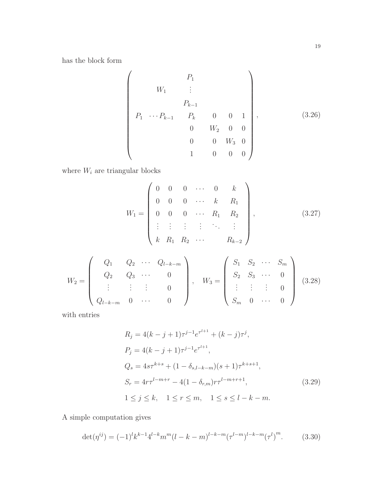has the block form

<span id="page-18-0"></span>
$$
\begin{pmatrix}\n & P_1 & & & \\
 & W_1 & \vdots & & & \\
 & P_{k-1} & & & \\
 & P_1 & \cdots P_{k-1} & P_k & 0 & 0 & 1 \\
 & 0 & W_2 & 0 & 0 & \\
 & 0 & 0 & W_3 & 0 & \\
 & 1 & 0 & 0 & 0 & \n\end{pmatrix},\n\tag{3.26}
$$

where  $\mathcal{W}_i$  are triangular blocks

$$
W_1 = \begin{pmatrix} 0 & 0 & 0 & \cdots & 0 & k \\ 0 & 0 & 0 & \cdots & k & R_1 \\ 0 & 0 & 0 & \cdots & R_1 & R_2 \\ \vdots & \vdots & \vdots & \vdots & \ddots & \vdots \\ k & R_1 & R_2 & \cdots & R_{k-2} \end{pmatrix},
$$
 (3.27)

<span id="page-18-1"></span>
$$
W_2 = \begin{pmatrix} Q_1 & Q_2 & \cdots & Q_{l-k-m} \\ Q_2 & Q_3 & \cdots & 0 \\ \vdots & \vdots & \vdots & 0 \\ Q_{l-k-m} & 0 & \cdots & 0 \end{pmatrix}, \quad W_3 = \begin{pmatrix} S_1 & S_2 & \cdots & S_m \\ S_2 & S_3 & \cdots & 0 \\ \vdots & \vdots & \vdots & 0 \\ S_m & 0 & \cdots & 0 \end{pmatrix} \quad (3.28)
$$

with entries

$$
R_j = 4(k - j + 1)\tau^{j-1}e^{\tau^{l+1}} + (k - j)\tau^j,
$$
  
\n
$$
P_j = 4(k - j + 1)\tau^{j-1}e^{\tau^{l+1}},
$$
  
\n
$$
Q_s = 4s\tau^{k+s} + (1 - \delta_{s,l-k-m})(s + 1)\tau^{k+s+1},
$$
  
\n
$$
S_r = 4r\tau^{l-m+r} - 4(1 - \delta_{r,m})r\tau^{l-m+r+1},
$$
  
\n
$$
1 \le j \le k, \quad 1 \le r \le m, \quad 1 \le s \le l - k - m.
$$
  
\n(3.29)

A simple computation gives

$$
\det(\eta^{ij}) = (-1)^l k^{k-1} 4^{l-k} m^m (l-k-m)^{l-k-m} (\tau^{l-m})^{l-k-m} (\tau^l)^m.
$$
 (3.30)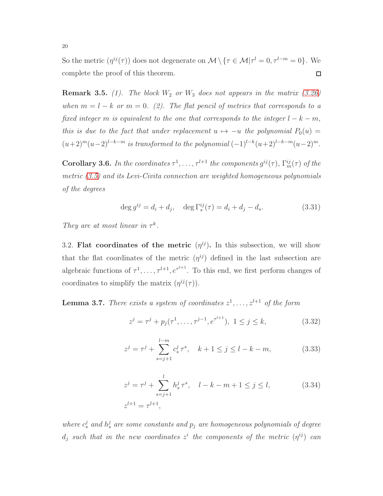So the metric  $(\eta^{ij}(\tau))$  does not degenerate on  $\mathcal{M} \setminus {\{\tau \in \mathcal{M} | \tau^l = 0, \tau^{l-m} = 0\}}$ . We complete the proof of this theorem.  $\Box$ 

<span id="page-19-2"></span>**Remark 3.5.** (1). The block  $W_2$  or  $W_3$  does not appears in the matrix [\(3.26\)](#page-18-0) when  $m = l - k$  or  $m = 0$ . (2). The flat pencil of metrics that corresponds to a fixed integer m is equivalent to the one that corresponds to the integer  $l - k - m$ , this is due to the fact that under replacement  $u \mapsto -u$  the polynomial  $P_0(u) =$  $(u+2)^m(u-2)^{l-k-m}$  is transformed to the polynomial  $(-1)^{l-k}(u+2)^{l-k-m}(u-2)^m$ .

**Corollary 3.6.** In the coordinates  $\tau^1, \ldots, \tau^{l+1}$  the components  $g^{ij}(\tau)$ ,  $\Gamma_m^{ij}(\tau)$  of the metric  $(3.5)$  and its Levi-Civita connection are weighted homogeneous polynomials of the degrees

$$
\deg g^{ij} = d_i + d_j, \quad \deg \Gamma_s^{ij}(\tau) = d_i + d_j - d_s. \tag{3.31}
$$

<span id="page-19-0"></span>They are at most linear in  $\tau^k$ .

3.2. Flat coordinates of the metric  $(\eta^{ij})$ . In this subsection, we will show that the flat coordinates of the metric  $(\eta^{ij})$  defined in the last subsection are algebraic functions of  $\tau^1, \ldots, \tau^{l+1}, e^{\tau^{l+1}}$ . To this end, we first perform changes of coordinates to simplify the matrix  $(\eta^{ij}(\tau))$ .

<span id="page-19-3"></span>**Lemma 3.7.** There exists a system of coordinates  $z^1, \ldots, z^{l+1}$  of the form

<span id="page-19-1"></span>
$$
z^{j} = \tau^{j} + p_{j}(\tau^{1}, \dots, \tau^{j-1}, e^{\tau^{l+1}}), \ 1 \le j \le k,
$$
\n(3.32)

$$
z^{j} = \tau^{j} + \sum_{s=j+1}^{l-m} c_{s}^{j} \tau^{s}, \quad k+1 \le j \le l-k-m,
$$
 (3.33)

$$
z^{j} = \tau^{j} + \sum_{s=j+1}^{l} h_{s}^{j} \tau^{s}, \quad l - k - m + 1 \leq j \leq l,
$$
\n
$$
z^{l+1} = \tau^{l+1},
$$
\n(3.34)

where  $c_s^j$  and  $h_s^j$  are some constants and  $p_j$  are homogeneous polynomials of degree  $d_j$  such that in the new coordinates  $z^i$  the components of the metric  $(\eta^{ij})$  can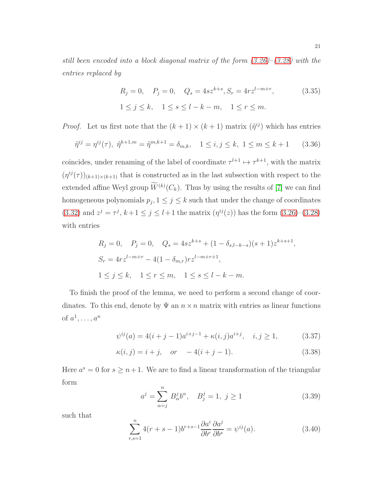still been encoded into a block diagonal matrix of the form  $(3.26)$ – $(3.28)$  with the entries replaced by

<span id="page-20-0"></span>
$$
R_j = 0, \quad P_j = 0, \quad Q_s = 4sz^{k+s}, S_r = 4rz^{l-m+r}, \tag{3.35}
$$

$$
1 \le j \le k, \quad 1 \le s \le l-k-m, \quad 1 \le r \le m.
$$

*Proof.* Let us first note that the  $(k + 1) \times (k + 1)$  matrix  $(\tilde{\eta}^{ij})$  which has entries

$$
\tilde{\eta}^{ij} = \eta^{ij}(\tau), \ \tilde{\eta}^{k+1,m} = \tilde{\eta}^{m,k+1} = \delta_{m,k}, \quad 1 \le i, j \le k, \ 1 \le m \le k+1 \tag{3.36}
$$

coincides, under renaming of the label of coordinate  $\tau^{l+1} \mapsto \tau^{k+1}$ , with the matrix  $(\eta^{ij}(\tau))_{(k+1)\times (k+1)}$  that is constructed as in the last subsection with respect to the extended affine Weyl group  $\overline{W}^{(k)}(C_k)$ . Thus by using the results of [\[7\]](#page-51-0) we can find homogeneous polynomials  $p_j$ ,  $1 \leq j \leq k$  such that under the change of coordinates [\(3.32\)](#page-19-1) and  $z^j = \tau^j$ ,  $k+1 \le j \le l+1$  the matrix  $(\eta^{ij}(z))$  has the form [\(3.26\)](#page-18-0)-[\(3.28\)](#page-18-1) with entries

$$
R_j = 0, \quad P_j = 0, \quad Q_s = 4sz^{k+s} + (1 - \delta_{s,l-k-s})(s+1)z^{k+s+1}
$$
  
\n
$$
S_r = 4rz^{l-m+r} - 4(1 - \delta_{m,r})rz^{l-m+r+1},
$$
  
\n
$$
1 \le j \le k, \quad 1 \le r \le m, \quad 1 \le s \le l-k-m.
$$

To finish the proof of the lemma, we need to perform a second change of coordinates. To this end, denote by  $\Psi$  an  $n \times n$  matrix with entries as linear functions of  $a^1, \ldots, a^n$ 

$$
\psi^{ij}(a) = 4(i+j-1)a^{i+j-1} + \kappa(i,j)a^{i+j}, \quad i, j \ge 1,
$$
\n(3.37)

$$
\kappa(i, j) = i + j
$$
, or  $-4(i + j - 1)$ . (3.38)

Here  $a^s = 0$  for  $s \geq n+1$ . We are to find a linear transformation of the triangular form

$$
a^{j} = \sum_{\alpha=j}^{n} B_{\alpha}^{j} b^{\alpha}, \quad B_{j}^{j} = 1, \ j \ge 1
$$
 (3.39)

such that

$$
\sum_{r,s=1}^{n} 4(r+s-1)b^{r+s-1}\frac{\partial a^i}{\partial b^r}\frac{\partial a^j}{\partial b^s} = \psi^{ij}(a). \tag{3.40}
$$

,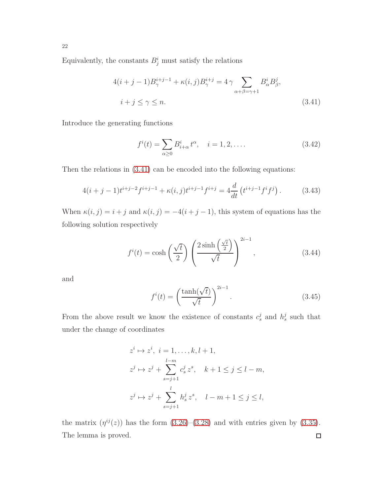Equivalently, the constants  $B_j^i$  must satisfy the relations

<span id="page-21-0"></span>
$$
4(i+j-1)B_{\gamma}^{i+j-1} + \kappa(i,j)B_{\gamma}^{i+j} = 4\gamma \sum_{\alpha+\beta=\gamma+1} B_{\alpha}^{i} B_{\beta}^{j},
$$
  

$$
i+j \le \gamma \le n.
$$
 (3.41)

Introduce the generating functions

$$
f^{i}(t) = \sum_{\alpha \ge 0} B^{i}_{i+\alpha} t^{\alpha}, \quad i = 1, 2, ....
$$
 (3.42)

Then the relations in [\(3.41\)](#page-21-0) can be encoded into the following equations:

$$
4(i+j-1)t^{i+j-2}f^{i+j-1} + \kappa(i,j)t^{i+j-1}f^{i+j} = 4\frac{d}{dt}\left(t^{i+j-1}f^if^j\right). \tag{3.43}
$$

When  $\kappa(i, j) = i + j$  and  $\kappa(i, j) = -4(i + j - 1)$ , this system of equations has the following solution respectively

$$
f^{i}(t) = \cosh\left(\frac{\sqrt{t}}{2}\right) \left(\frac{2\sinh\left(\frac{\sqrt{t}}{2}\right)}{\sqrt{t}}\right)^{2i-1}, \qquad (3.44)
$$

and

$$
f^{i}(t) = \left(\frac{\tanh(\sqrt{t})}{\sqrt{t}}\right)^{2i-1}.
$$
\n(3.45)

From the above result we know the existence of constants  $c_s^j$  and  $h_s^j$  such that under the change of coordinates

$$
z^{i} \mapsto z^{i}, \ i = 1, \dots, k, l+1,
$$
  
\n
$$
z^{j} \mapsto z^{j} + \sum_{s=j+1}^{l-m} c_{s}^{j} z^{s}, \quad k+1 \leq j \leq l-m,
$$
  
\n
$$
z^{j} \mapsto z^{j} + \sum_{s=j+1}^{l} h_{s}^{j} z^{s}, \quad l-m+1 \leq j \leq l,
$$

the matrix  $(\eta^{ij}(z))$  has the form  $(3.26)-(3.28)$  $(3.26)-(3.28)$  and with entries given by  $(3.35)$ . The lemma is proved. $\Box$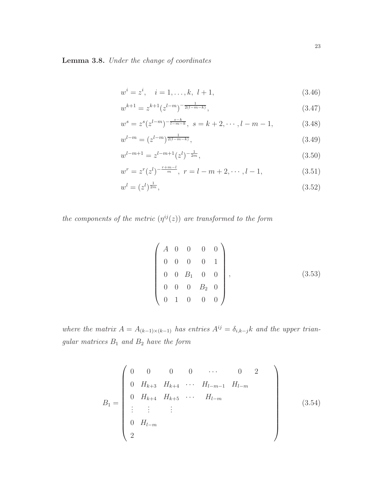Lemma 3.8. Under the change of coordinates

<span id="page-22-1"></span>
$$
w^{i} = z^{i}, \quad i = 1, \dots, k, \ l + 1,
$$
\n
$$
(3.46)
$$

$$
w^{k+1} = z^{k+1} (z^{l-m})^{-\frac{1}{2(l-m-k)}},
$$
\n(3.47)

$$
w^{s} = z^{s}(z^{l-m})^{-\frac{s-k}{l-m-k}}, \ s = k+2, \cdots, l-m-1,
$$
 (3.48)

$$
w^{l-m} = (z^{l-m})^{\frac{1}{2(l-m-k)}},\tag{3.49}
$$

$$
w^{l-m+1} = z^{l-m+1}(z^l)^{-\frac{1}{2m}},
$$
\n(3.50)

$$
w^{r} = z^{r}(z^{l})^{-\frac{r+m-l}{m}}, \ r = l - m + 2, \cdots, l - 1,
$$
\n(3.51)

$$
w^l = (z^l)^{\frac{1}{2m}},\tag{3.52}
$$

the components of the metric  $(\eta^{ij}(z))$  are transformed to the form

<span id="page-22-0"></span>
$$
\begin{pmatrix}\nA & 0 & 0 & 0 & 0 \\
0 & 0 & 0 & 0 & 1 \\
0 & 0 & B_1 & 0 & 0 \\
0 & 0 & 0 & B_2 & 0 \\
0 & 1 & 0 & 0 & 0\n\end{pmatrix},
$$
\n(3.53)

where the matrix  $A = A_{(k-1)\times(k-1)}$  has entries  $A^{ij} = \delta_{i,k-j}k$  and the upper trian $gular\ matrices\ B_1\ and\ B_2\ have\ the\ form$ 

<span id="page-22-2"></span>
$$
B_{1} = \begin{pmatrix} 0 & 0 & 0 & 0 & \cdots & 0 & 2 \\ 0 & H_{k+3} & H_{k+4} & \cdots & H_{l-m-1} & H_{l-m} \\ 0 & H_{k+4} & H_{k+5} & \cdots & H_{l-m} & \\ \vdots & \vdots & \vdots & & \\ 0 & H_{l-m} & & \\ 2 & & & \end{pmatrix}
$$
(3.54)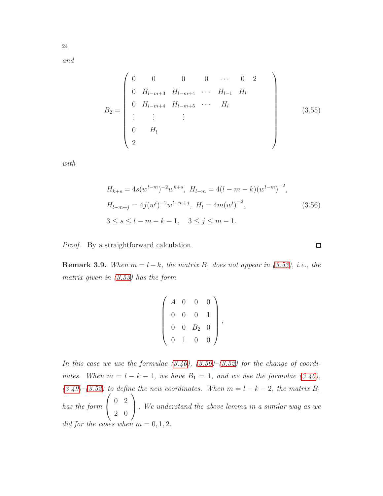and

24

B<sup>2</sup> = 0 0 0 0 · · · 0 2 0 H<sup>l</sup>−m+3 H<sup>l</sup>−m+4 · · · H<sup>l</sup>−<sup>1</sup> H<sup>l</sup> 0 H<sup>l</sup>−m+4 H<sup>l</sup>−m+5 · · · H<sup>l</sup> . . . . . . . . . 0 H<sup>l</sup> 2 (3.55)

with

<span id="page-23-0"></span>
$$
H_{k+s} = 4s(w^{l-m})^{-2}w^{k+s}, H_{l-m} = 4(l-m-k)(w^{l-m})^{-2},
$$
  
\n
$$
H_{l-m+j} = 4j(w^{l})^{-2}w^{l-m+j}, H_l = 4m(w^{l})^{-2},
$$
  
\n
$$
3 \le s \le l-m-k-1, 3 \le j \le m-1.
$$
\n(3.56)

Proof. By a straightforward calculation.

**Remark 3.9.** When  $m = l - k$ , the matrix  $B_1$  does not appear in [\(3.53\)](#page-22-0), i.e., the matrix given in [\(3.53\)](#page-22-0) has the form

$$
\left(\begin{array}{cccc} A & 0 & 0 & 0 \\ 0 & 0 & 0 & 1 \\ 0 & 0 & B_2 & 0 \\ 0 & 1 & 0 & 0 \end{array}\right),
$$

In this case we use the formulae  $(3.46)$ ,  $(3.50)$ – $(3.52)$  for the change of coordinates. When  $m = l - k - 1$ , we have  $B_1 = 1$ , and we use the formulae [\(3.46\)](#page-22-1),  $(3.49)$ – $(3.52)$  to define the new coordinates. When  $m = l - k - 2$ , the matrix  $B_1$ has the form  $\sqrt{ }$  $\mathbf{I}$ 0 2 2 0  $\setminus$  . We understand the above lemma in a similar way as we did for the cases when  $m = 0, 1, 2$ .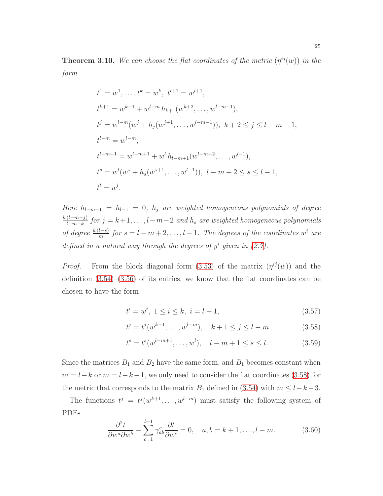<span id="page-24-0"></span>**Theorem 3.10.** We can choose the flat coordinates of the metric  $(\eta^{ij}(w))$  in the form

$$
t^{1} = w^{1}, \dots, t^{k} = w^{k}, t^{l+1} = w^{l+1},
$$
  
\n
$$
t^{k+1} = w^{k+1} + w^{l-m} h_{k+1}(w^{k+2}, \dots, w^{l-m-1}),
$$
  
\n
$$
t^{j} = w^{l-m}(w^{j} + h_{j}(w^{j+1}, \dots, w^{l-m-1})), k+2 \leq j \leq l-m-1,
$$
  
\n
$$
t^{l-m} = w^{l-m},
$$
  
\n
$$
t^{l-m+1} = w^{l-m+1} + w^{l} h_{l-m+1}(w^{l-m+2}, \dots, w^{l-1}),
$$
  
\n
$$
t^{s} = w^{l}(w^{s} + h_{s}(w^{s+1}, \dots, w^{l-1})), l-m+2 \leq s \leq l-1,
$$
  
\n
$$
t^{l} = w^{l}.
$$

Here  $h_{l-m-1} = h_{l-1} = 0$ ,  $h_j$  are weighted homogeneous polynomials of degree  $k(l-m-j)$  $\frac{(l-m-j)}{l-m-k}$  for  $j = k+1, \ldots, l-m-2$  and  $h_s$  are weighted homogeneous polynomials of degree  $\frac{k(l-s)}{m}$  for  $s = l - m + 2, \ldots, l - 1$ . The degrees of the coordinates w<sup>i</sup> are defined in a natural way through the degrees of  $y^i$  given in  $(2.7)$ .

*Proof.* From the block diagonal form [\(3.53\)](#page-22-0) of the matrix  $(\eta^{ij}(w))$  and the definition  $(3.54)$ – $(3.56)$  of its entries, we know that the flat coordinates can be chosen to have the form

<span id="page-24-1"></span>
$$
t^{i} = w^{i}, \ 1 \leq i \leq k, \ i = l + 1,
$$
\n(3.57)

$$
t^{j} = t^{j}(w^{k+1}, \dots, w^{l-m}), \quad k+1 \le j \le l-m
$$
\n(3.58)

$$
t^{s} = t^{s}(w^{l-m+1}, \dots, w^{l}), \quad l - m + 1 \le s \le l. \tag{3.59}
$$

Since the matrices  $B_1$  and  $B_2$  have the same form, and  $B_1$  becomes constant when  $m = l - k$  or  $m = l - k - 1$ , we only need to consider the flat coordinates [\(3.58\)](#page-24-1) for the metric that corresponds to the matrix  $B_1$  defined in [\(3.54\)](#page-22-2) with  $m \leq l-k-3$ .

The functions  $t^j = t^j(w^{k+1}, \ldots, w^{l-m})$  must satisfy the following system of PDEs

<span id="page-24-2"></span>
$$
\frac{\partial^2 t}{\partial w^a \partial w^b} - \sum_{c=1}^{l+1} \gamma_{ab}^c \frac{\partial t}{\partial w^c} = 0, \quad a, b = k+1, \dots, l-m. \tag{3.60}
$$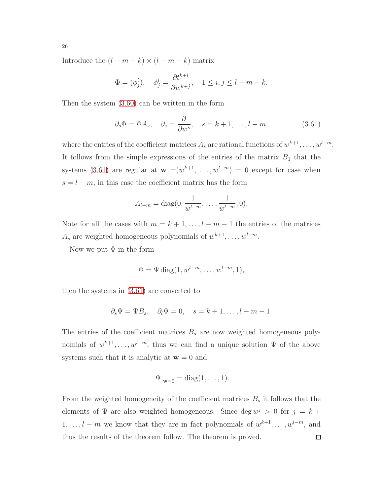Introduce the  $(l - m - k) \times (l - m - k)$  matrix

$$
\Phi = (\phi_j^i), \quad \phi_j^i = \frac{\partial t^{k+i}}{\partial w^{k+j}}, \quad 1 \le i, j \le l-m-k,
$$

Then the system [\(3.60\)](#page-24-2) can be written in the form

<span id="page-25-0"></span>
$$
\partial_s \Phi = \Phi A_s, \quad \partial_s = \frac{\partial}{\partial w^s}, \quad s = k+1, \dots, l-m,
$$
\n(3.61)

where the entries of the coefficient matrices  $A_s$  are rational functions of  $w^{k+1}, \ldots, w^{l-m}$ . It follows from the simple expressions of the entries of the matrix  $B_1$  that the systems [\(3.61\)](#page-25-0) are regular at  $\mathbf{w} = (w^{k+1}, \ldots, w^{l-m}) = 0$  except for case when  $s = l - m$ , in this case the coefficient matrix has the form

$$
A_{l-m} = \text{diag}(0, \frac{1}{w^{l-m}}, \dots, \frac{1}{w^{l-m}}, 0).
$$

Note for all the cases with  $m = k + 1, \ldots, l - m - 1$  the entries of the matrices  $A_s$  are weighted homogeneous polynomials of  $w^{k+1}, \ldots, w^{l-m}$ .

Now we put  $\Phi$  in the form

$$
\Phi = \Psi \operatorname{diag}(1, w^{l-m}, \dots, w^{l-m}, 1),
$$

then the systems in [\(3.61\)](#page-25-0) are converted to

$$
\partial_s \Psi = \Psi B_s, \quad \partial_l \Psi = 0, \quad s = k+1, \dots, l-m-1.
$$

The entries of the coefficient matrices  $B_s$  are now weighted homogeneous polynomials of  $w^{k+1}, \ldots, w^{l-m}$ , thus we can find a unique solution  $\Psi$  of the above systems such that it is analytic at  $w = 0$  and

$$
\Psi|_{\mathbf{w}=0} = \text{diag}(1,\ldots,1).
$$

From the weighted homogeneity of the coefficient matrices  $B_s$  it follows that the elements of  $\Psi$  are also weighted homogeneous. Since  $\deg w^j > 0$  for  $j = k + 1$  $1, \ldots, l-m$  we know that they are in fact polynomials of  $w^{k+1}, \ldots, w^{l-m}$ , and thus the results of the theorem follow. The theorem is proved. $\Box$ 

26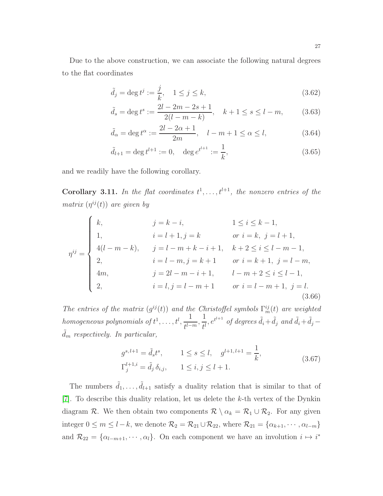Due to the above construction, we can associate the following natural degrees to the flat coordinates

<span id="page-26-0"></span>
$$
\tilde{d}_j = \deg t^j := \frac{j}{k}, \quad 1 \le j \le k,
$$
\n
$$
(3.62)
$$

$$
\tilde{d}_s = \deg t^s := \frac{2l - 2m - 2s + 1}{2(l - m - k)}, \quad k + 1 \le s \le l - m,\tag{3.63}
$$

$$
\tilde{d}_{\alpha} = \deg t^{\alpha} := \frac{2l - 2\alpha + 1}{2m}, \quad l - m + 1 \le \alpha \le l,
$$
\n(3.64)

$$
\tilde{d}_{l+1} = \deg t^{l+1} := 0, \quad \deg e^{t^{l+1}} := \frac{1}{k},\tag{3.65}
$$

and we readily have the following corollary.

**Corollary 3.11.** In the flat coordinates  $t^1, \ldots, t^{l+1}$ , the nonzero entries of the matrix  $(\eta^{ij}(t))$  are given by

$$
\eta^{ij} = \begin{cases}\nk, & j = k - i, & 1 \le i \le k - 1, \\
1, & i = l + 1, j = k & or i = k, j = l + 1, \\
4(l - m - k), & j = l - m + k - i + 1, & k + 2 \le i \le l - m - 1, \\
2, & i = l - m, j = k + 1 & or i = k + 1, j = l - m, \\
4m, & j = 2l - m - i + 1, & l - m + 2 \le i \le l - 1, \\
2, & i = l, j = l - m + 1 & or i = l - m + 1, j = l.\n\end{cases}
$$
\n(3.66)

The entries of the matrix  $(g^{ij}(t))$  and the Christoffel symbols  $\Gamma_m^{ij}(t)$  are weighted homogeneous polynomials of  $t^1, \ldots, t^l, \frac{1}{t^l-1}$  $\frac{1}{t^{l-m}}, \frac{1}{t^l}$  $\frac{1}{t^l}$ ,  $e^{t^{l+1}}$  of degrees  $\tilde{d}_i + \tilde{d}_j$  and  $\tilde{d}_i + \tilde{d}_j$  –  $\ddot{d}_m$  respectively. In particular,

$$
g^{s,l+1} = \tilde{d}_s t^s, \qquad 1 \le s \le l, \quad g^{l+1,l+1} = \frac{1}{k},
$$
  

$$
\Gamma_j^{l+1,i} = \tilde{d}_j \,\delta_{i,j}, \qquad 1 \le i, j \le l+1.
$$
 (3.67)

The numbers  $\tilde{d}_1, \ldots, \tilde{d}_{l+1}$  satisfy a duality relation that is similar to that of [\[7\]](#page-51-0). To describe this duality relation, let us delete the k-th vertex of the Dynkin diagram R. We then obtain two components  $\mathcal{R} \setminus \alpha_k = \mathcal{R}_1 \cup \mathcal{R}_2$ . For any given integer  $0 \leq m \leq l - k$ , we denote  $\mathcal{R}_2 = \mathcal{R}_{21} \cup \mathcal{R}_{22}$ , where  $\mathcal{R}_{21} = \{ \alpha_{k+1}, \cdots, \alpha_{l-m} \}$ and  $\mathcal{R}_{22} = \{ \alpha_{l-m+1}, \cdots, \alpha_l \}.$  On each component we have an involution  $i \mapsto i^*$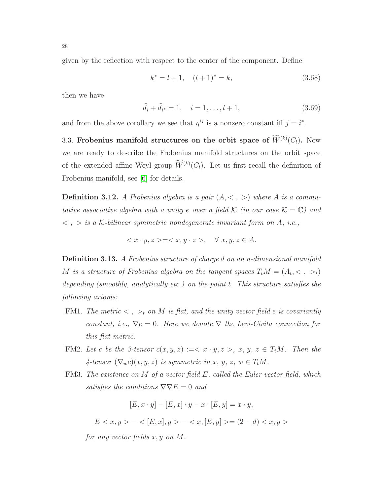given by the reflection with respect to the center of the component. Define

<span id="page-27-1"></span>
$$
k^* = l + 1, \quad (l+1)^* = k,\tag{3.68}
$$

then we have

<span id="page-27-2"></span>
$$
\tilde{d}_i + \tilde{d}_{i^*} = 1, \quad i = 1, \dots, l+1,
$$
\n(3.69)

<span id="page-27-0"></span>and from the above corollary we see that  $\eta^{ij}$  is a nonzero constant iff  $j = i^*$ .

3.3. Frobenius manifold structures on the orbit space of  $W^{(k)}(C_l)$ . Now we are ready to describe the Frobenius manifold structures on the orbit space of the extended affine Weyl group  $W^{(k)}(C_l)$ . Let us first recall the definition of Frobenius manifold, see [\[6\]](#page-51-6) for details.

**Definition 3.12.** A Frobenius algebra is a pair  $(A, \langle , \rangle)$  where A is a commutative associative algebra with a unity e over a field K (in our case  $\mathcal{K} = \mathbb{C}$ ) and  $\langle \cdot \rangle$ ,  $>$  is a K-bilinear symmetric nondegenerate invariant form on A, i.e.,

$$
\langle x \cdot y, z \rangle = \langle x, y \cdot z \rangle, \quad \forall x, y, z \in A.
$$

Definition 3.13. A Frobenius structure of charge d on an n-dimensional manifold M is a structure of Frobenius algebra on the tangent spaces  $T_t M = (A_t, <, >_t)$ depending (smoothly, analytically etc.) on the point t. This structure satisfies the following axioms:

- FM1. The metric  $\langle , \rangle_t$  on M is flat, and the unity vector field e is covariantly constant, i.e.,  $\nabla e = 0$ . Here we denote  $\nabla$  the Levi-Civita connection for this flat metric.
- FM2. Let c be the 3-tensor  $c(x, y, z) := \langle x \cdot y, z \rangle, x, y, z \in T_t M$ . Then the  $\mathcal{A}-tensor\left(\nabla_{w}c\right)(x, y, z)$  is symmetric in  $x, y, z, w \in T_tM$ .
- FM3. The existence on M of a vector field E, called the Euler vector field, which satisfies the conditions  $\nabla \nabla E = 0$  and

$$
[E, x \cdot y] - [E, x] \cdot y - x \cdot [E, y] = x \cdot y,
$$

$$
E < x, y > - < [E, x], y > - < x, [E, y] > = (2 - d) < x, y > \text{}
$$

for any vector fields  $x, y$  on  $M$ .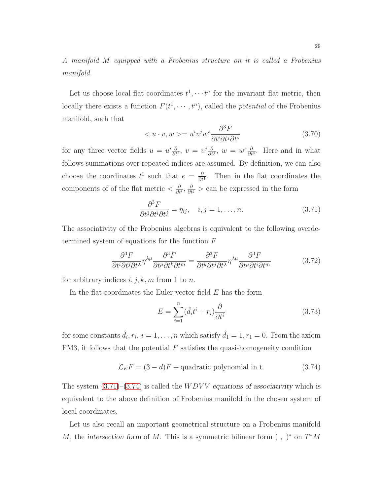A manifold M equipped with a Frobenius structure on it is called a Frobenius manifold.

Let us choose local flat coordinates  $t^1, \dots, t^n$  for the invariant flat metric, then locally there exists a function  $F(t^1, \dots, t^n)$ , called the *potential* of the Frobenius manifold, such that

$$
\langle u \cdot v, w \rangle = u^i v^j w^s \frac{\partial^3 F}{\partial t^i \partial t^j \partial t^s} \tag{3.70}
$$

for any three vector fields  $u = u^i \frac{\partial}{\partial t}$  $\frac{\partial}{\partial t^i}, v = v^j \frac{\partial}{\partial t}$  $\frac{\partial}{\partial t^j}$ ,  $w = w^s \frac{\partial}{\partial t}$  $\frac{\partial}{\partial t^s}$ . Here and in what follows summations over repeated indices are assumed. By definition, we can also choose the coordinates  $t^1$  such that  $e = \frac{\partial}{\partial t^1}$ . Then in the flat coordinates the components of of the flat metric  $\langle \frac{\partial}{\partial t}$  $\frac{\partial}{\partial t^i}, \frac{\partial}{\partial t^j}$  > can be expressed in the form

<span id="page-28-0"></span>
$$
\frac{\partial^3 F}{\partial t^1 \partial t^j \partial t^j} = \eta_{ij}, \quad i, j = 1, \dots, n. \tag{3.71}
$$

The associativity of the Frobenius algebras is equivalent to the following overdetermined system of equations for the function F

$$
\frac{\partial^3 F}{\partial t^i \partial t^j \partial t^\lambda} \eta^{\lambda \mu} \frac{\partial^3 F}{\partial t^\mu \partial t^k \partial t^m} = \frac{\partial^3 F}{\partial t^k \partial t^j \partial t^\lambda} \eta^{\lambda \mu} \frac{\partial^3 F}{\partial t^\mu \partial t^i \partial t^m}
$$
(3.72)

for arbitrary indices  $i, j, k, m$  from 1 to n.

In the flat coordinates the Euler vector field  $E$  has the form

$$
E = \sum_{i=1}^{n} (\hat{d}_i t^i + r_i) \frac{\partial}{\partial t^i}
$$
 (3.73)

for some constants  $\hat{d}_i, r_i, i = 1, \ldots, n$  which satisfy  $\hat{d}_1 = 1, r_1 = 0$ . From the axiom  $FM3$ , it follows that the potential  $F$  satisfies the quasi-homogeneity condition

<span id="page-28-1"></span>
$$
\mathcal{L}_E F = (3 - d)F + \text{quadratic polynomial in t.} \tag{3.74}
$$

The system  $(3.71)$ – $(3.74)$  is called the *WDVV* equations of associativity which is equivalent to the above definition of Frobenius manifold in the chosen system of local coordinates.

Let us also recall an important geometrical structure on a Frobenius manifold M, the intersection form of M. This is a symmetric bilinear form  $( , )^*$  on  $T^*M$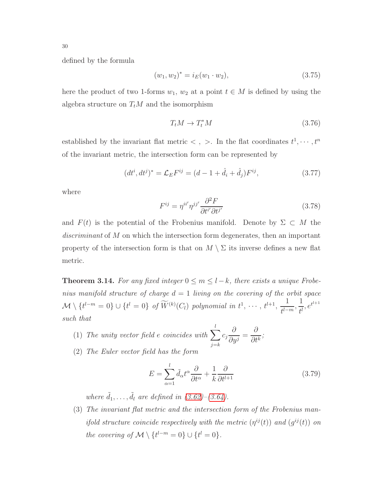defined by the formula

$$
(w_1, w_2)^* = i_E(w_1 \cdot w_2), \tag{3.75}
$$

here the product of two 1-forms  $w_1, w_2$  at a point  $t \in M$  is defined by using the algebra structure on  $T_tM$  and the isomorphism

$$
T_t M \to T_t^* M \tag{3.76}
$$

established by the invariant flat metric  $\lt$ ,  $\gt$ . In the flat coordinates  $t^1, \dots, t^n$ of the invariant metric, the intersection form can be represented by

$$
(dt^i, dt^j)^* = \mathcal{L}_E F^{ij} = (d - 1 + \hat{d}_i + \hat{d}_j) F^{ij}, \qquad (3.77)
$$

where

$$
F^{ij} = \eta^{ii'} \eta^{jj'} \frac{\partial^2 F}{\partial t^{i'} \partial t^{j'}}
$$
\n(3.78)

and  $F(t)$  is the potential of the Frobenius manifold. Denote by  $\Sigma \subset M$  the discriminant of M on which the intersection form degenerates, then an important property of the intersection form is that on  $M \setminus \Sigma$  its inverse defines a new flat metric.

<span id="page-29-0"></span>**Theorem 3.14.** For any fixed integer  $0 \le m \le l-k$ , there exists a unique Frobenius manifold structure of charge  $d = 1$  living on the covering of the orbit space  $\mathcal{M} \setminus \{t^{l-m} = 0\} \cup \{t^l = 0\}$  of  $\widetilde{W}^{(k)}(C_l)$  polynomial in  $t^1, \cdots, t^{l+1}, \frac{1}{t^{l-1}}$  $\frac{1}{t^{l-m}}, \frac{1}{t^l}$  $\frac{1}{t^l}, e^{t^{l+1}}$ such that

(1) The unity vector field e coincides with 
$$
\sum_{j=k}^{l} c_j \frac{\partial}{\partial y^j} = \frac{\partial}{\partial t^k};
$$

(2) The Euler vector field has the form

<span id="page-29-1"></span>
$$
E = \sum_{\alpha=1}^{l} \tilde{d}_{\alpha} t^{\alpha} \frac{\partial}{\partial t^{\alpha}} + \frac{1}{k} \frac{\partial}{\partial t^{l+1}}
$$
(3.79)

where  $\tilde{d}_1, \ldots, \tilde{d}_l$  are defined in  $(3.62)$ – $(3.64)$ .

(3) The invariant flat metric and the intersection form of the Frobenius manifold structure coincide respectively with the metric  $(\eta^{ij}(t))$  and  $(g^{ij}(t))$  on the covering of  $\mathcal{M} \setminus \{t^{l-m} = 0\} \cup \{t^l = 0\}.$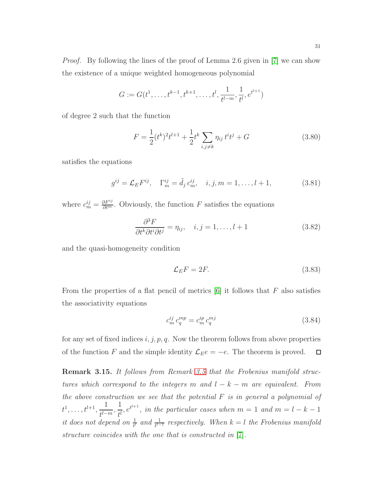Proof. By following the lines of the proof of Lemma 2.6 given in [\[7\]](#page-51-0) we can show the existence of a unique weighted homogeneous polynomial

$$
G := G(t^1, \dots, t^{k-1}, t^{k+1}, \dots, t^l, \frac{1}{t^{l-m}}, \frac{1}{t^l}, e^{t^{l+1}})
$$

of degree 2 such that the function

$$
F = \frac{1}{2}(t^k)^2 t^{l+1} + \frac{1}{2}t^k \sum_{i,j \neq k} \eta_{ij} t^i t^j + G \tag{3.80}
$$

satisfies the equations

$$
g^{ij} = \mathcal{L}_E F^{ij}, \quad \Gamma_m^{ij} = \tilde{d}_j c_m^{ij}, \quad i, j, m = 1, \dots, l+1,
$$
 (3.81)

where  $c_m^{ij} = \frac{\partial F^{ij}}{\partial t^m}$ . Obviously, the function F satisfies the equations

$$
\frac{\partial^3 F}{\partial t^k \partial t^j \partial t^j} = \eta_{ij}, \quad i, j = 1, \dots, l+1 \tag{3.82}
$$

and the quasi-homogeneity condition

$$
\mathcal{L}_E F = 2F. \tag{3.83}
$$

From the properties of a flat pencil of metrics  $[6]$  it follows that F also satisfies the associativity equations

$$
c_m^{ij} c_q^{mp} = c_m^{ip} c_q^{mj} \tag{3.84}
$$

for any set of fixed indices  $i, j, p, q$ . Now the theorem follows from above properties of the function F and the simple identity  $\mathcal{L}_E e = -e$ . The theorem is proved.  $\Box$ 

Remark 3.15. It follows from Remark [3.5](#page-19-2) that the Frobenius manifold structures which correspond to the integers m and  $l - k - m$  are equivalent. From the above construction we see that the potential  $F$  is in general a polynomial of  $t^1, \ldots, t^{l+1}, \frac{1}{d}$  $\frac{1}{t^{l-m}}, \frac{1}{t^l}$  $\frac{1}{t^l}$ ,  $e^{t^{l+1}}$ , in the particular cases when  $m = 1$  and  $m = l - k - 1$ it does not depend on  $\frac{1}{t^l}$  and  $\frac{1}{t^{l-1}}$  respectively. When  $k = l$  the Frobenius manifold structure coincides with the one that is constructed in [\[7\]](#page-51-0).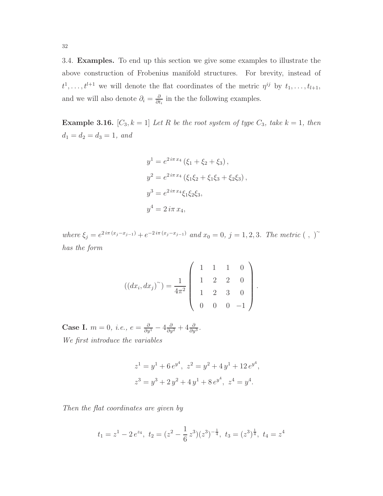<span id="page-31-0"></span>3.4. Examples. To end up this section we give some examples to illustrate the above construction of Frobenius manifold structures. For brevity, instead of  $t^1, \ldots, t^{l+1}$  we will denote the flat coordinates of the metric  $\eta^{ij}$  by  $t_1, \ldots, t_{l+1}$ , and we will also denote  $\partial_i = \frac{\partial}{\partial t}$  $\frac{\partial}{\partial t_i}$  in the the following examples.

**Example 3.16.**  $[C_3, k = 1]$  Let R be the root system of type  $C_3$ , take  $k = 1$ , then  $d_1 = d_2 = d_3 = 1, \text{ and}$ 

$$
y^{1} = e^{2i\pi x_{4}} (\xi_{1} + \xi_{2} + \xi_{3}),
$$
  
\n
$$
y^{2} = e^{2i\pi x_{4}} (\xi_{1}\xi_{2} + \xi_{1}\xi_{3} + \xi_{2}\xi_{3}),
$$
  
\n
$$
y^{3} = e^{2i\pi x_{4}} \xi_{1}\xi_{2}\xi_{3},
$$
  
\n
$$
y^{4} = 2i\pi x_{4},
$$

where  $\xi_j = e^{2i\pi (x_j - x_{j-1})} + e^{-2i\pi (x_j - x_{j-1})}$  and  $x_0 = 0, j = 1, 2, 3$ . The metric  $( , )^{\sim}$ has the form

$$
((dx_i, dx_j)^\sim) = \frac{1}{4\pi^2} \begin{pmatrix} 1 & 1 & 1 & 0 \\ 1 & 2 & 2 & 0 \\ 1 & 2 & 3 & 0 \\ 0 & 0 & 0 & -1 \end{pmatrix}.
$$

Case I.  $m = 0$ , *i.e.*,  $e = \frac{\partial}{\partial y^1} - 4 \frac{\partial}{\partial y^2} + 4 \frac{\partial}{\partial y^3}$ . We first introduce the variables

$$
z1 = y1 + 6 ey4, z2 = y2 + 4 y1 + 12 ey4,z3 = y3 + 2 y2 + 4 y1 + 8 ey4, z4 = y4.
$$

Then the flat coordinates are given by

$$
t_1 = z^1 - 2e^{z_4}, t_2 = (z^2 - \frac{1}{6}z^3)(z^3)^{-\frac{1}{4}}, t_3 = (z^3)^{\frac{1}{4}}, t_4 = z^4
$$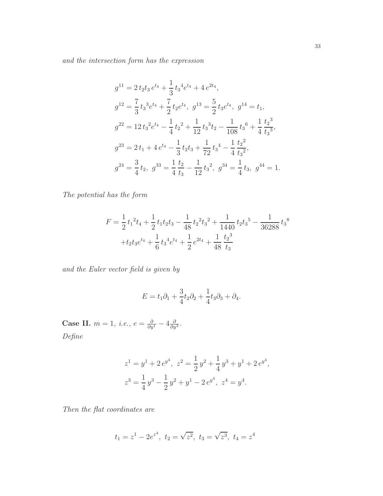and the intersection form has the expression

$$
g^{11} = 2 t_2 t_3 e^{t_4} + \frac{1}{3} t_3^4 e^{t_4} + 4 e^{2t_4},
$$
  
\n
$$
g^{12} = \frac{7}{3} t_3^3 e^{t_4} + \frac{7}{2} t_2 e^{t_4}, g^{13} = \frac{5}{2} t_3 e^{t_4}, g^{14} = t_1,
$$
  
\n
$$
g^{22} = 12 t_3^2 e^{t_4} - \frac{1}{4} t_2^2 + \frac{1}{12} t_3^3 t_2 - \frac{1}{108} t_3^6 + \frac{1}{4} \frac{t_2^3}{t_3^3},
$$
  
\n
$$
g^{23} = 2 t_1 + 4 e^{t_4} - \frac{1}{3} t_2 t_3 + \frac{1}{72} t_3^4 - \frac{1}{4} \frac{t_2^2}{t_3^2},
$$
  
\n
$$
g^{24} = \frac{3}{4} t_2, g^{33} = \frac{1}{4} \frac{t_2}{t_3} - \frac{1}{12} t_3^2, g^{34} = \frac{1}{4} t_3, g^{44} = 1.
$$

The potential has the form

$$
F = \frac{1}{2}t_1^2t_4 + \frac{1}{2}t_1t_2t_3 - \frac{1}{48}t_2^2t_3^2 + \frac{1}{1440}t_2t_3^5 - \frac{1}{36288}t_3^8
$$
  
+  $t_2t_3e^{t_4} + \frac{1}{6}t_3^4e^{t_4} + \frac{1}{2}e^{2t_4} + \frac{1}{48}\frac{t_2^3}{t_3}$ 

and the Euler vector field is given by

$$
E = t_1 \partial_1 + \frac{3}{4} t_2 \partial_2 + \frac{1}{4} t_3 \partial_3 + \partial_4.
$$

Case II.  $m = 1$ , *i.e.*,  $e = \frac{\partial}{\partial y^1} - 4 \frac{\partial}{\partial y^2}$  $\frac{\partial}{\partial y^3}$ . Define

$$
z1 = y1 + 2 ey4, z2 = \frac{1}{2} y2 + \frac{1}{4} y3 + y1 + 2 ey4,z3 = \frac{1}{4} y3 - \frac{1}{2} y2 + y1 - 2 ey4, z4 = y4.
$$

Then the flat coordinates are

$$
t_1 = z^1 - 2e^{z^4}
$$
,  $t_2 = \sqrt{z^2}$ ,  $t_3 = \sqrt{z^3}$ ,  $t_4 = z^4$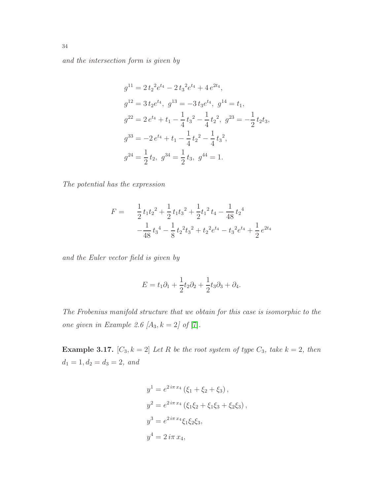and the intersection form is given by

$$
g^{11} = 2 t_2^2 e^{t_4} - 2 t_3^2 e^{t_4} + 4 e^{2t_4},
$$
  
\n
$$
g^{12} = 3 t_2 e^{t_4}, g^{13} = -3 t_3 e^{t_4}, g^{14} = t_1,
$$
  
\n
$$
g^{22} = 2 e^{t_4} + t_1 - \frac{1}{4} t_3^2 - \frac{1}{4} t_2^2, g^{23} = -\frac{1}{2} t_2 t_3,
$$
  
\n
$$
g^{33} = -2 e^{t_4} + t_1 - \frac{1}{4} t_2^2 - \frac{1}{4} t_3^2,
$$
  
\n
$$
g^{24} = \frac{1}{2} t_2, g^{34} = \frac{1}{2} t_3, g^{44} = 1.
$$

The potential has the expression

$$
F = \frac{1}{2}t_1t_2^2 + \frac{1}{2}t_1t_3^2 + \frac{1}{2}t_1^2t_4 - \frac{1}{48}t_2^4
$$

$$
-\frac{1}{48}t_3^4 - \frac{1}{8}t_2^2t_3^2 + t_2^2e^{t_4} - t_3^2e^{t_4} + \frac{1}{2}e^{2t_4}
$$

and the Euler vector field is given by

$$
E = t_1 \partial_1 + \frac{1}{2} t_2 \partial_2 + \frac{1}{2} t_3 \partial_3 + \partial_4.
$$

The Frobenius manifold structure that we obtain for this case is isomorphic to the one given in Example 2.6  $[A_3, k = 2]$  of  $[7]$ .

**Example 3.17.**  $[C_3, k = 2]$  Let R be the root system of type  $C_3$ , take  $k = 2$ , then  $d_1 = 1, d_2 = d_3 = 2, \text{ and}$ 

$$
y^{1} = e^{2i\pi x_{4}} (\xi_{1} + \xi_{2} + \xi_{3}),
$$
  
\n
$$
y^{2} = e^{2i\pi x_{4}} (\xi_{1}\xi_{2} + \xi_{1}\xi_{3} + \xi_{2}\xi_{3}),
$$
  
\n
$$
y^{3} = e^{2i\pi x_{4}} \xi_{1}\xi_{2}\xi_{3},
$$
  
\n
$$
y^{4} = 2i\pi x_{4},
$$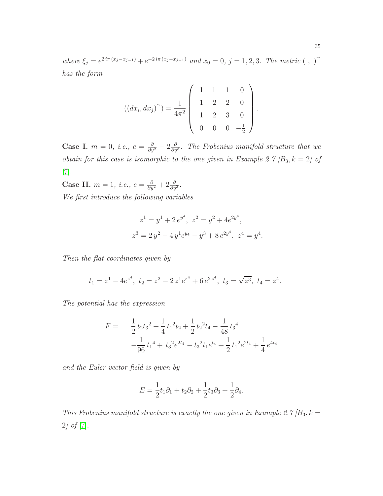where  $\xi_j = e^{2i\pi (x_j - x_{j-1})} + e^{-2i\pi (x_j - x_{j-1})}$  and  $x_0 = 0, j = 1, 2, 3$ . The metric  $( , )^{\sim}$ has the form

$$
((dx_i, dx_j)^\sim) = \frac{1}{4\pi^2} \begin{pmatrix} 1 & 1 & 1 & 0 \\ 1 & 2 & 2 & 0 \\ 1 & 2 & 3 & 0 \\ 0 & 0 & 0 & -\frac{1}{2} \end{pmatrix}.
$$

**Case I.**  $m = 0$ , *i.e.*,  $e = \frac{\partial}{\partial y^2} - 2\frac{\partial}{\partial y}$  $\frac{\partial}{\partial y^3}$ . The Frobenius manifold structure that we obtain for this case is isomorphic to the one given in Example 2.7  $[B_3, k = 2]$  of [\[7\]](#page-51-0).

Case II.  $m = 1$ , *i.e.*,  $e = \frac{\partial}{\partial y^2} + 2\frac{\partial}{\partial y^3}$ .

We first introduce the following variables

$$
z1 = y1 + 2 ey4, z2 = y2 + 4e2y4,z3 = 2 y2 - 4 y1 ey4 - y3 + 8 e2y4, z4 = y4
$$

.

Then the flat coordinates given by

$$
t_1 = z^1 - 4e^{z^4}
$$
,  $t_2 = z^2 - 2z^1e^{z^4} + 6e^{2z^4}$ ,  $t_3 = \sqrt{z^3}$ ,  $t_4 = z^4$ .

The potential has the expression

$$
F = \frac{1}{2}t_2t_3^2 + \frac{1}{4}t_1^2t_2 + \frac{1}{2}t_2^2t_4 - \frac{1}{48}t_3^4
$$
  

$$
-\frac{1}{96}t_1^4 + t_3^2e^{2t_4} - t_3^2t_1e^{t_4} + \frac{1}{2}t_1^2e^{2t_4} + \frac{1}{4}e^{4t_4}
$$

and the Euler vector field is given by

$$
E = \frac{1}{2}t_1\partial_1 + t_2\partial_2 + \frac{1}{2}t_3\partial_3 + \frac{1}{2}\partial_4.
$$

This Frobenius manifold structure is exactly the one given in Example 2.7  $/B_3$ ,  $k =$ 2] of [\[7\]](#page-51-0).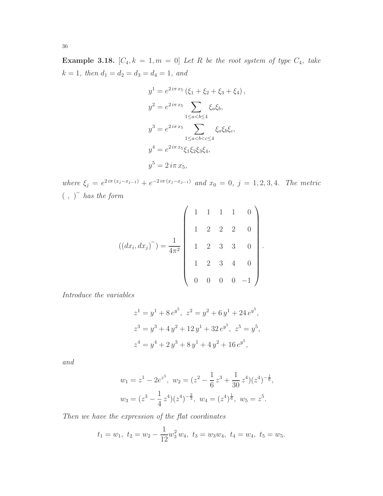**Example 3.18.**  $[C_4, k = 1, m = 0]$  Let R be the root system of type  $C_4$ , take  $k = 1$ , then  $d_1 = d_2 = d_3 = d_4 = 1$ , and

$$
y^{1} = e^{2i\pi x_{5}} (\xi_{1} + \xi_{2} + \xi_{3} + \xi_{4}),
$$
  
\n
$$
y^{2} = e^{2i\pi x_{5}} \sum_{1 \le a < b \le 4} \xi_{a} \xi_{b},
$$
  
\n
$$
y^{3} = e^{2i\pi x_{5}} \sum_{1 \le a < b < c \le 4} \xi_{a} \xi_{b} \xi_{c},
$$
  
\n
$$
y^{4} = e^{2i\pi x_{5}} \xi_{1} \xi_{2} \xi_{3} \xi_{4},
$$
  
\n
$$
y^{5} = 2i\pi x_{5},
$$

where  $\xi_j = e^{2i\pi (x_j - x_{j-1})} + e^{-2i\pi (x_j - x_{j-1})}$  and  $x_0 = 0$ ,  $j = 1, 2, 3, 4$ . The metric  $(\ ,\ )^{\sim}$  has the form

$$
((dx_i, dx_j)^\sim) = \frac{1}{4\pi^2} \begin{pmatrix} 1 & 1 & 1 & 1 & 0 \\ & 1 & 2 & 2 & 2 & 0 \\ & 1 & 2 & 3 & 3 & 0 \\ & & 1 & 2 & 3 & 4 & 0 \\ & & & 0 & 0 & 0 & -1 \end{pmatrix}.
$$

Introduce the variables

$$
z1 = y1 + 8 ey5, z2 = y2 + 6 y1 + 24 ey5,\nz3 = y3 + 4 y2 + 12 y1 + 32 ey5, z5 = y5,\nz4 = y4 + 2 y3 + 8 y1 + 4 y2 + 16 ey5,
$$

and

$$
w_1 = z^1 - 2e^{z^5}, \ w_2 = (z^2 - \frac{1}{6}z^3 + \frac{1}{30}z^4)(z^4)^{-\frac{1}{6}},
$$
  

$$
w_3 = (z^3 - \frac{1}{4}z^4)(z^4)^{-\frac{2}{3}}, \ w_4 = (z^4)^{\frac{1}{6}}, \ w_5 = z^5.
$$

Then we have the expression of the flat coordinates

$$
t_1 = w_1
$$
,  $t_2 = w_2 - \frac{1}{12}w_3^2 w_4$ ,  $t_3 = w_3w_4$ ,  $t_4 = w_4$ ,  $t_5 = w_5$ .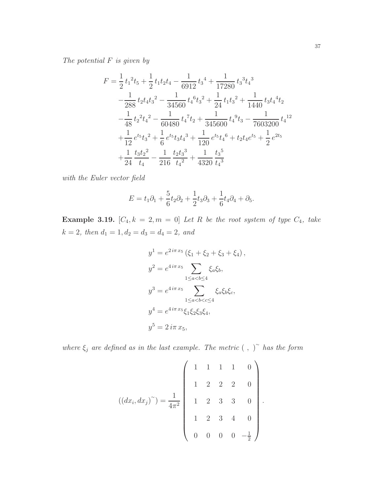The potential F is given by

$$
F = \frac{1}{2} t_1^2 t_5 + \frac{1}{2} t_1 t_2 t_4 - \frac{1}{6912} t_3^4 + \frac{1}{17280} t_3^3 t_4^3
$$
  
\n
$$
-\frac{1}{288} t_2 t_4 t_3^2 - \frac{1}{34560} t_4^6 t_3^2 + \frac{1}{24} t_1 t_3^2 + \frac{1}{1440} t_3 t_4^4 t_2
$$
  
\n
$$
-\frac{1}{48} t_2^2 t_4^2 - \frac{1}{60480} t_4^7 t_2 + \frac{1}{345600} t_4^9 t_3 - \frac{1}{7603200} t_4^{12}
$$
  
\n
$$
+\frac{1}{12} e^{t_5} t_3^2 + \frac{1}{6} e^{t_5} t_3 t_4^3 + \frac{1}{120} e^{t_5} t_4^6 + t_2 t_4 e^{t_5} + \frac{1}{2} e^{2t_5}
$$
  
\n
$$
+\frac{1}{24} \frac{t_3 t_2^2}{t_4} - \frac{1}{216} \frac{t_2 t_3^3}{t_4^2} + \frac{1}{4320} \frac{t_3^5}{t_4^3}
$$

with the Euler vector field

$$
E = t_1 \partial_1 + \frac{5}{6} t_2 \partial_2 + \frac{1}{2} t_3 \partial_3 + \frac{1}{6} t_4 \partial_4 + \partial_5.
$$

**Example 3.19.**  $[C_4, k = 2, m = 0]$  Let R be the root system of type  $C_4$ , take  $k = 2$ , then  $d_1 = 1$ ,  $d_2 = d_3 = d_4 = 2$ , and

$$
y^{1} = e^{2i\pi x_{5}} (\xi_{1} + \xi_{2} + \xi_{3} + \xi_{4}),
$$
  
\n
$$
y^{2} = e^{4i\pi x_{5}} \sum_{1 \le a < b \le 4} \xi_{a} \xi_{b},
$$
  
\n
$$
y^{3} = e^{4i\pi x_{5}} \sum_{1 \le a < b < c \le 4} \xi_{a} \xi_{b} \xi_{c},
$$
  
\n
$$
y^{4} = e^{4i\pi x_{5}} \xi_{1} \xi_{2} \xi_{3} \xi_{4},
$$
  
\n
$$
y^{5} = 2i\pi x_{5},
$$

where  $\xi_j$  are defined as in the last example. The metric  $( , )^{\sim}$  has the form

$$
((dx_i, dx_j)^\sim) = \frac{1}{4\pi^2} \begin{pmatrix} 1 & 1 & 1 & 1 & 0 \\ & 1 & 2 & 2 & 2 & 0 \\ & 1 & 2 & 3 & 3 & 0 \\ & & 1 & 2 & 3 & 4 & 0 \\ & 0 & 0 & 0 & 0 & -\frac{1}{2} \end{pmatrix}.
$$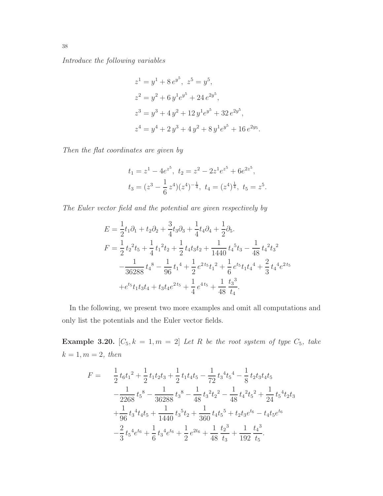Introduce the following variables

$$
z1 = y1 + 8 ey5, z5 = y5,\n z2 = y2 + 6 y1 ey5 + 24 e2y5,\n z3 = y3 + 4 y2 + 12 y1 ey5 + 32 e2y5,\n z4 = y4 + 2 y3 + 4 y2 + 8 y1 ey5 + 16 e2y5.
$$

Then the flat coordinates are given by

$$
t_1 = z^1 - 4e^{z^5}, \ t_2 = z^2 - 2z^1 e^{z^5} + 6e^{2z^5},
$$
  

$$
t_3 = (z^3 - \frac{1}{6}z^4)(z^4)^{-\frac{1}{4}}, \ t_4 = (z^4)^{\frac{1}{4}}, \ t_5 = z^5.
$$

The Euler vector field and the potential are given respectively by

$$
E = \frac{1}{2}t_1\partial_1 + t_2\partial_2 + \frac{3}{4}t_3\partial_3 + \frac{1}{4}t_4\partial_4 + \frac{1}{2}\partial_5.
$$
  
\n
$$
F = \frac{1}{2}t_2^2t_5 + \frac{1}{4}t_1^2t_2 + \frac{1}{2}t_4t_3t_2 + \frac{1}{1440}t_4^5t_3 - \frac{1}{48}t_4^2t_3^2 - \frac{1}{36288}t_4^8 - \frac{1}{96}t_1^4 + \frac{1}{2}e^{2t_5}t_1^2 + \frac{1}{6}e^{t_5}t_1t_4^4 + \frac{2}{3}t_4^4e^{2t_5} + e^{t_5}t_1t_3t_4 + t_3t_4e^{2t_5} + \frac{1}{4}e^{4t_5} + \frac{1}{48}\frac{t_3^3}{t_4}.
$$

In the following, we present two more examples and omit all computations and only list the potentials and the Euler vector fields.

**Example 3.20.**  $[C_5, k = 1, m = 2]$  Let R be the root system of type  $C_5$ , take  $k = 1, m = 2, \text{ then}$ 

$$
F = \frac{1}{2}t_6t_1^2 + \frac{1}{2}t_1t_2t_3 + \frac{1}{2}t_1t_4t_5 - \frac{1}{72}t_3^4t_5^4 - \frac{1}{8}t_2t_3t_4t_5
$$
  

$$
-\frac{1}{2268}t_5^8 - \frac{1}{36288}t_3^8 - \frac{1}{48}t_3^2t_2^2 - \frac{1}{48}t_4^2t_5^2 + \frac{1}{24}t_5^4t_2t_3
$$
  

$$
+\frac{1}{96}t_3^4t_4t_5 + \frac{1}{1440}t_3^5t_2 + \frac{1}{360}t_4t_5^5 + t_2t_3e^{t_6} - t_4t_5e^{t_6}
$$
  

$$
-\frac{2}{3}t_5^4e^{t_6} + \frac{1}{6}t_3^4e^{t_6} + \frac{1}{2}e^{2t_6} + \frac{1}{48}\frac{t_2^3}{t_3} + \frac{1}{192}\frac{t_4^3}{t_5}.
$$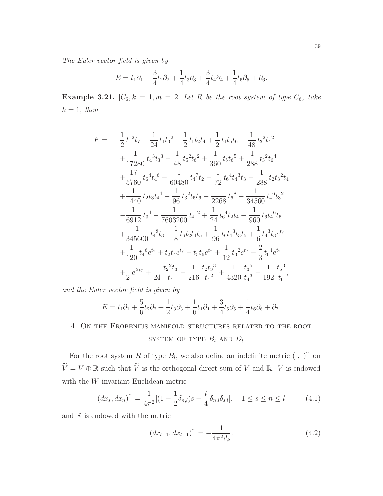The Euler vector field is given by

$$
E = t_1 \partial_1 + \frac{3}{4} t_2 \partial_2 + \frac{1}{4} t_3 \partial_3 + \frac{3}{4} t_4 \partial_4 + \frac{1}{4} t_5 \partial_5 + \partial_6.
$$

**Example 3.21.**  $[C_6, k = 1, m = 2]$  Let R be the root system of type  $C_6$ , take  $k = 1$ , then

$$
F = \frac{1}{2}t_1{}^2t_7 + \frac{1}{24}t_1t_3{}^2 + \frac{1}{2}t_1t_2t_4 + \frac{1}{2}t_1t_5t_6 - \frac{1}{48}t_2{}^2t_4{}^2
$$
  
+ 
$$
\frac{1}{17280}t_4{}^3t_3{}^3 - \frac{1}{48}t_5{}^2t_6{}^2 + \frac{1}{360}t_5t_6{}^5 + \frac{1}{288}t_3{}^2t_6{}^4
$$
  
+ 
$$
\frac{17}{5760}t_6{}^4t_4{}^6 - \frac{1}{60480}t_4{}^7t_2 - \frac{1}{72}t_6{}^4t_4{}^3t_3 - \frac{1}{288}t_2t_3{}^2t_4
$$
  
+ 
$$
\frac{1}{1440}t_2t_3t_4{}^4 - \frac{1}{96}t_3{}^2t_5t_6 - \frac{1}{2268}t_6{}^8 - \frac{1}{34560}t_4{}^6t_3{}^2
$$
  
- 
$$
\frac{1}{6912}t_3{}^4 - \frac{1}{7603200}t_4{}^{12} + \frac{1}{24}t_6{}^4t_2t_4 - \frac{1}{960}t_6t_4{}^6t_5
$$
  
+ 
$$
\frac{1}{345600}t_4{}^9t_3 - \frac{1}{8}t_6t_2t_4t_5 + \frac{1}{96}t_6t_4{}^3t_3t_5 + \frac{1}{6}t_4{}^3t_3e^{t_7}
$$
  
+ 
$$
\frac{1}{120}t_4{}^6e^{t_7} + t_2t_4e^{t_7} - t_5t_6e^{t_7} + \frac{1}{12}t_3{}^2e^{t_7} - \frac{2}{3}t_6{}^4e^{t_7}
$$
  
+ 
$$
\frac{1}{2}e^{2t_7} + \frac{1}{24}t_2{}^2t_3{}^2 - \frac{1}{216}t_4{}^4t_4{}^2 + \frac{1}{4320}t_4{}^5 + \frac{1}{192}
$$

and the Euler vector field is given by

$$
E = t_1 \partial_1 + \frac{5}{6} t_2 \partial_2 + \frac{1}{2} t_3 \partial_3 + \frac{1}{6} t_4 \partial_4 + \frac{3}{4} t_5 \partial_5 + \frac{1}{4} t_6 \partial_6 + \partial_7.
$$

# <span id="page-38-0"></span>4. On the Frobenius manifold structures related to the root SYSTEM OF TYPE  $B_l$  and  $D_l$

For the root system R of type  $B_l$ , we also define an indefinite metric  $( , )^{\sim}$  on  $\widetilde{V}=V\oplus \mathbb{R}$  such that  $\widetilde{V}$  is the orthogonal direct sum of  $V$  and  $\mathbb{R}.$   $V$  is endowed with the  $W$ -invariant Euclidean metric

$$
(dx_s, dx_n)^\sim = \frac{1}{4\pi^2} [(1 - \frac{1}{2}\delta_{n,l})s - \frac{l}{4}\delta_{n,l}\delta_{s,l}], \quad 1 \le s \le n \le l \tag{4.1}
$$

and  $\mathbb R$  is endowed with the metric

$$
(dx_{l+1}, dx_{l+1})^{\sim} = -\frac{1}{4\pi^2 d_k}.
$$
\n(4.2)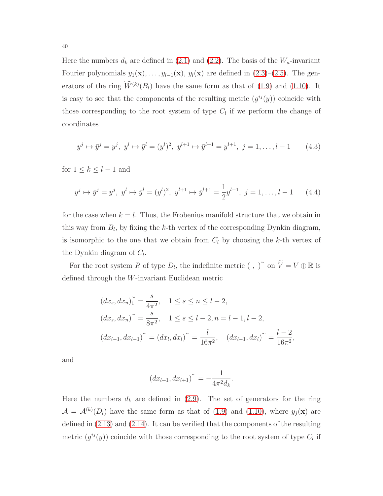Here the numbers  $d_k$  are defined in [\(2.1\)](#page-6-1) and [\(2.2\)](#page-6-2). The basis of the  $W_a$ -invariant Fourier polynomials  $y_1(\mathbf{x}), \ldots, y_{l-1}(\mathbf{x}), y_l(\mathbf{x})$  are defined in  $(2.3)–(2.5)$  $(2.3)–(2.5)$ . The generators of the ring  $W^{(k)}(B_l)$  have the same form as that of [\(1.9\)](#page-2-0) and [\(1.10\)](#page-2-0). It is easy to see that the components of the resulting metric  $(g^{ij}(y))$  coincide with those corresponding to the root system of type  $C_l$  if we perform the change of coordinates

$$
y^{j} \mapsto \bar{y}^{j} = y^{j}, \ y^{l} \mapsto \bar{y}^{l} = (y^{l})^{2}, \ y^{l+1} \mapsto \bar{y}^{l+1} = y^{l+1}, \ j = 1, \dots, l-1 \tag{4.3}
$$

for  $1 \leq k \leq l-1$  and

$$
y^{j} \mapsto \bar{y}^{j} = y^{j}, y^{l} \mapsto \bar{y}^{l} = (y^{l})^{2}, y^{l+1} \mapsto \bar{y}^{l+1} = \frac{1}{2}y^{l+1}, j = 1, ..., l-1
$$
 (4.4)

for the case when  $k = l$ . Thus, the Frobenius manifold structure that we obtain in this way from  $B_l$ , by fixing the k-th vertex of the corresponding Dynkin diagram, is isomorphic to the one that we obtain from  $C_l$  by choosing the k-th vertex of the Dynkin diagram of  $C_l$ .

For the root system R of type  $D_l$ , the indefinite metric (, )<sup>~</sup> on  $\widetilde{V} = V \oplus \mathbb{R}$  is defined through the W-invariant Euclidean metric

$$
(dx_s, dx_n)_1^{\sim} = \frac{s}{4\pi^2}, \quad 1 \le s \le n \le l-2,
$$
  

$$
(dx_s, dx_n)^{\sim} = \frac{s}{8\pi^2}, \quad 1 \le s \le l-2, n = l-1, l-2,
$$
  

$$
(dx_{l-1}, dx_{l-1})^{\sim} = (dx_l, dx_l)^{\sim} = \frac{l}{16\pi^2}, \quad (dx_{l-1}, dx_l)^{\sim} = \frac{l-2}{16\pi^2}
$$

,

and

$$
(dx_{l+1}, dx_{l+1})^{\sim} = -\frac{1}{4\pi^2 d_k}
$$

.

Here the numbers  $d_k$  are defined in [\(2.9\)](#page-7-2). The set of generators for the ring  $\mathcal{A} = \mathcal{A}^{(k)}(D_l)$  have the same form as that of [\(1.9\)](#page-2-0) and [\(1.10\)](#page-2-0), where  $y_j(\mathbf{x})$  are defined in [\(2.13\)](#page-8-0) and [\(2.14\)](#page-8-1). It can be verified that the components of the resulting metric  $(g^{ij}(y))$  coincide with those corresponding to the root system of type  $C_l$  if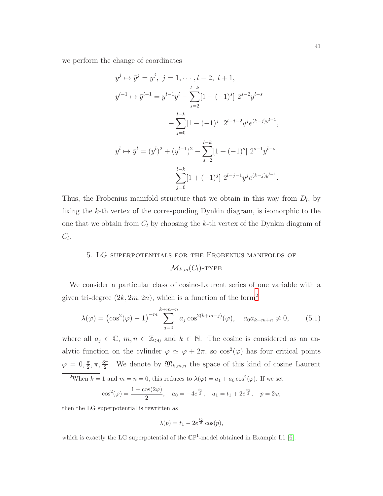we perform the change of coordinates

$$
y^{j} \mapsto \bar{y}^{j} = y^{j}, \ j = 1, \dots, l - 2, \ l + 1,
$$
  
\n
$$
y^{l-1} \mapsto \bar{y}^{l-1} = y^{l-1}y^{l} - \sum_{s=2}^{l-k} [1 - (-1)^{s}] \ 2^{s-2}y^{l-s}
$$
  
\n
$$
-\sum_{j=0}^{l-k} [1 - (-1)^{j}] \ 2^{l-j-2}y^{j}e^{(k-j)y^{l+1}},
$$
  
\n
$$
y^{l} \mapsto \bar{y}^{l} = (y^{l})^{2} + (y^{l-1})^{2} - \sum_{s=2}^{l-k} [1 + (-1)^{s}] \ 2^{s-1}y^{l-s}
$$
  
\n
$$
-\sum_{j=0}^{l-k} [1 + (-1)^{j}] \ 2^{l-j-1}y^{j}e^{(k-j)y^{l+1}}.
$$

Thus, the Frobenius manifold structure that we obtain in this way from  $D_l$ , by fixing the k-th vertex of the corresponding Dynkin diagram, is isomorphic to the one that we obtain from  $C_l$  by choosing the k-th vertex of the Dynkin diagram of  $C_l$ .

## <span id="page-40-0"></span>5. LG superpotentials for the Frobenius manifolds of  $\mathcal{M}_{k,m}(C_l)$ -TYPE

We consider a particular class of cosine-Laurent series of one variable with a given tri-degree  $(2k, 2m, 2n)$  $(2k, 2m, 2n)$  $(2k, 2m, 2n)$ , which is a function of the form<sup>2</sup>

$$
\lambda(\varphi) = \left(\cos^2(\varphi) - 1\right)^{-m} \sum_{j=0}^{k+m+n} a_j \cos^{2(k+m-j)}(\varphi), \quad a_0 a_{k+m+n} \neq 0,\tag{5.1}
$$

where all  $a_j \in \mathbb{C}$ ,  $m, n \in \mathbb{Z}_{\geq 0}$  and  $k \in \mathbb{N}$ . The cosine is considered as an analytic function on the cylinder  $\varphi \simeq \varphi + 2\pi$ , so  $\cos^2(\varphi)$  has four critical points  $\varphi = 0, \frac{\pi}{2}$  $\frac{\pi}{2}, \pi, \frac{3\pi}{2}$ . We denote by  $\mathfrak{M}_{k,m,n}$  the space of this kind of cosine Laurent

<span id="page-40-1"></span><sup>2</sup>When  $k = 1$  and  $m = n = 0$ , this reduces to  $\lambda(\varphi) = a_1 + a_0 \cos^2(\varphi)$ . If we set

$$
\cos^2(\varphi) = \frac{1 + \cos(2\varphi)}{2}, \quad a_0 = -4e^{\frac{t_2}{2}}, \quad a_1 = t_1 + 2e^{\frac{t_2}{2}}, \quad p = 2\varphi,
$$

then the LG superpotential is rewritten as

$$
\lambda(p) = t_1 - 2e^{\frac{t_2}{2}}\cos(p),
$$

which is exactly the LG superpotential of the  $\mathbb{CP}^1$ -model obtained in Example I.1 [\[6\]](#page-51-6).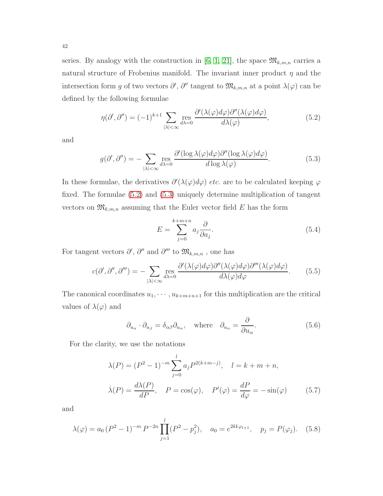series. By analogy with the construction in [\[6,](#page-51-6) [1,](#page-50-1) [21\]](#page-52-1), the space  $\mathfrak{M}_{k,m,n}$  carries a natural structure of Frobenius manifold. The invariant inner product  $\eta$  and the intersection form g of two vectors  $\partial', \partial''$  tangent to  $\mathfrak{M}_{k,m,n}$  at a point  $\lambda(\varphi)$  can be defined by the following formulae

<span id="page-41-1"></span>
$$
\eta(\partial',\partial'') = (-1)^{k+1} \sum_{|\lambda| < \infty} \operatorname{res}_{d\lambda=0} \frac{\partial'(\lambda(\varphi)d\varphi)\partial''(\lambda(\varphi)d\varphi)}{d\lambda(\varphi)},\tag{5.2}
$$

and

<span id="page-41-2"></span>
$$
g(\partial', \partial'') = -\sum_{|\lambda| < \infty} \operatorname{res}_{d\lambda = 0} \frac{\partial'(\log \lambda(\varphi)d\varphi)\partial''(\log \lambda(\varphi)d\varphi)}{d\log \lambda(\varphi)}.\tag{5.3}
$$

In these formulae, the derivatives  $\partial'(\lambda(\varphi)d\varphi)$  *etc.* are to be calculated keeping  $\varphi$ fixed. The formulae [\(5.2\)](#page-41-1) and [\(5.3\)](#page-41-2) uniquely determine multiplication of tangent vectors on  $\mathfrak{M}_{k,m,n}$  assuming that the Euler vector field E has the form

<span id="page-41-4"></span>
$$
E = \sum_{j=0}^{k+m+n} a_j \frac{\partial}{\partial a_j}.
$$
\n(5.4)

For tangent vectors  $\partial', \partial''$  and  $\partial'''$  to  $\mathfrak{M}_{k,m,n}$ , one has

<span id="page-41-0"></span>
$$
c(\partial', \partial'', \partial''') = -\sum_{|\lambda| < \infty} \operatorname{res}_{d\lambda = 0} \frac{\partial'(\lambda(\varphi)d\varphi)\partial''(\lambda(\varphi)d\varphi)\partial'''(\lambda(\varphi)d\varphi)}{d\lambda(\varphi)d\varphi}.\tag{5.5}
$$

The canonical coordinates  $u_1, \dots, u_{k+m+n+1}$  for this multiplication are the critical values of  $\lambda(\varphi)$  and

$$
\partial_{u_{\alpha}} \cdot \partial_{u_{\beta}} = \delta_{\alpha\beta} \partial_{u_{\alpha}}, \quad \text{where} \quad \partial_{u_{\alpha}} = \frac{\partial}{\partial u_{\alpha}}.
$$
 (5.6)

For the clarity, we use the notations

$$
\lambda(P) = (P^2 - 1)^{-m} \sum_{j=0}^{l} a_j P^{2(k+m-j)}, \quad l = k + m + n,
$$
  

$$
\dot{\lambda}(P) = \frac{d\lambda(P)}{dP}, \quad P = \cos(\varphi), \quad P'(\varphi) = \frac{dP}{d\varphi} = -\sin(\varphi) \tag{5.7}
$$

and

<span id="page-41-3"></span>
$$
\lambda(\varphi) = a_0 (P^2 - 1)^{-m} P^{-2n} \prod_{j=1}^{l} (P^2 - p_j^2), \quad a_0 = e^{2k \mathbf{i} \varphi_{l+1}}, \quad p_j = P(\varphi_j). \tag{5.8}
$$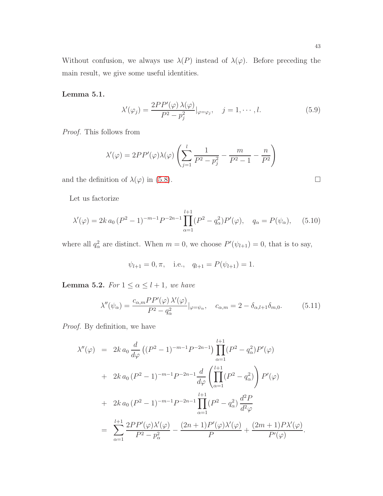Without confusion, we always use  $\lambda(P)$  instead of  $\lambda(\varphi)$ . Before preceding the main result, we give some useful identities.

Lemma 5.1.

<span id="page-42-1"></span>
$$
\lambda'(\varphi_j) = \frac{2PP'(\varphi)\,\lambda(\varphi)}{P^2 - p_j^2}|_{\varphi = \varphi_j}, \quad j = 1, \cdots, l.
$$
\n(5.9)

Proof. This follows from

$$
\lambda'(\varphi) = 2PP'(\varphi)\lambda(\varphi)\left(\sum_{j=1}^{l} \frac{1}{P^2 - p_j^2} - \frac{m}{P^2 - 1} - \frac{n}{P^2}\right)
$$

and the definition of  $\lambda(\varphi)$  in [\(5.8\)](#page-41-3).

Let us factorize

<span id="page-42-0"></span>
$$
\lambda'(\varphi) = 2k a_0 (P^2 - 1)^{-m-1} P^{-2n-1} \prod_{\alpha=1}^{l+1} (P^2 - q_\alpha^2) P'(\varphi), \quad q_\alpha = P(\psi_\alpha), \quad (5.10)
$$

where all  $q_\alpha^2$  are distinct. When  $m = 0$ , we choose  $P'(\psi_{l+1}) = 0$ , that is to say,

$$
\psi_{l+1} = 0, \pi
$$
, i.e.,  $q_{l+1} = P(\psi_{l+1}) = 1$ .

**Lemma 5.2.** For  $1 \le \alpha \le l + 1$ , we have

<span id="page-42-2"></span>
$$
\lambda''(\psi_{\alpha}) = \frac{c_{\alpha,m}PP'(\varphi)\,\lambda'(\varphi)}{P^2 - q_{\alpha}^2}|_{\varphi = \psi_{\alpha}}, \quad c_{\alpha,m} = 2 - \delta_{\alpha,l+1}\delta_{m,0}.\tag{5.11}
$$

Proof. By definition, we have

$$
\lambda''(\varphi) = 2k a_0 \frac{d}{d\varphi} \left( (P^2 - 1)^{-m-1} P^{-2n-1} \right) \prod_{\alpha=1}^{l+1} (P^2 - q_\alpha^2) P'(\varphi)
$$
  
+ 2k a\_0 (P^2 - 1)^{-m-1} P^{-2n-1} \frac{d}{d\varphi} \left( \prod\_{\alpha=1}^{l+1} (P^2 - q\_\alpha^2) \right) P'(\varphi)  
+ 2k a\_0 (P^2 - 1)^{-m-1} P^{-2n-1} \prod\_{\alpha=1}^{l+1} (P^2 - q\_\alpha^2) \frac{d^2 P}{d^2 \varphi}  
= \sum\_{\alpha=1}^{l+1} \frac{2 P P'(\varphi) \lambda'(\varphi)}{P^2 - p\_\alpha^2} - \frac{(2n+1) P'(\varphi) \lambda'(\varphi)}{P} + \frac{(2m+1) P \lambda'(\varphi)}{P'(\varphi)}.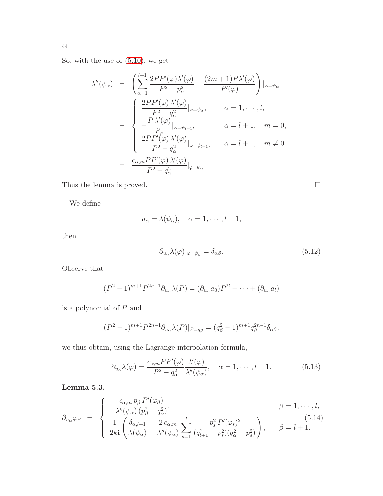So, with the use of [\(5.10\)](#page-42-0), we get

$$
\lambda''(\psi_{\alpha}) = \left( \sum_{\alpha=1}^{l+1} \frac{2PP'(\varphi)\lambda'(\varphi)}{P^2 - p_{\alpha}^2} + \frac{(2m+1)P\lambda'(\varphi)}{P'(\varphi)} \right) |_{\varphi = \psi_{\alpha}}
$$
  

$$
= \begin{cases} \frac{2PP'(\varphi)\lambda'(\varphi)}{P^2 - q_{\alpha}^2} |_{\varphi = \psi_{\alpha}}, & \alpha = 1, \dots, l, \\ -\frac{P\lambda'(\varphi)}{P_{\varphi}} |_{\varphi = \psi_{l+1}}, & \alpha = l+1, m = 0, \\ \frac{2PP'(\varphi)\lambda'(\varphi)}{P^2 - q_{\alpha}^2} |_{\varphi = \psi_{l+1}}, & \alpha = l+1, m \neq 0 \\ = \frac{c_{\alpha,m}PP'(\varphi)\lambda'(\varphi)}{P^2 - q_{\alpha}^2} |_{\varphi = \psi_{\alpha}}. \end{cases}
$$

Thus the lemma is proved.  $\hfill \square$ 

We define

$$
u_{\alpha} = \lambda(\psi_{\alpha}), \quad \alpha = 1, \cdots, l+1,
$$

then

$$
\partial_{u_{\alpha}}\lambda(\varphi)|_{\varphi=\psi_{\beta}} = \delta_{\alpha\beta}.\tag{5.12}
$$

Observe that

$$
(P^2 - 1)^{m+1} P^{2n-1} \partial_{u_\alpha} \lambda(P) = (\partial_{u_\alpha} a_0) P^{2l} + \dots + (\partial_{u_\alpha} a_l)
$$

is a polynomial of  $P$  and

$$
(P^2 - 1)^{m+1} P^{2n-1} \partial_{u_{\alpha}} \lambda(P)|_{P = q_{\beta}} = (q_{\beta}^2 - 1)^{m+1} q_{\beta}^{2n-1} \delta_{\alpha\beta},
$$

we thus obtain, using the Lagrange interpolation formula,

<span id="page-43-0"></span>
$$
\partial_{u_{\alpha}}\lambda(\varphi) = \frac{c_{\alpha,m}PP'(\varphi)}{P^2 - q_{\alpha}^2} \frac{\lambda'(\varphi)}{\lambda''(\psi_{\alpha})}, \quad \alpha = 1, \cdots, l+1.
$$
 (5.13)

Lemma 5.3.

<span id="page-43-1"></span>
$$
\partial_{u_{\alpha}}\varphi_{\beta} = \begin{cases}\n-\frac{c_{\alpha,m}p_{\beta}P'(\varphi_{\beta})}{\lambda''(\psi_{\alpha})\left(p_{\beta}^2 - q_{\alpha}^2\right)}, & \beta = 1, \cdots, l, \\
\frac{1}{2k\mathbf{i}}\left(\frac{\delta_{\alpha,l+1}}{\lambda(\psi_{\alpha})} + \frac{2c_{\alpha,m}}{\lambda''(\psi_{\alpha})}\sum_{s=1}^l \frac{p_s^2P'(\varphi_s)^2}{(q_{l+1}^2 - p_s^2)(q_{\alpha}^2 - p_s^2)}\right), & \beta = l+1.\n\end{cases}
$$
\n(5.14)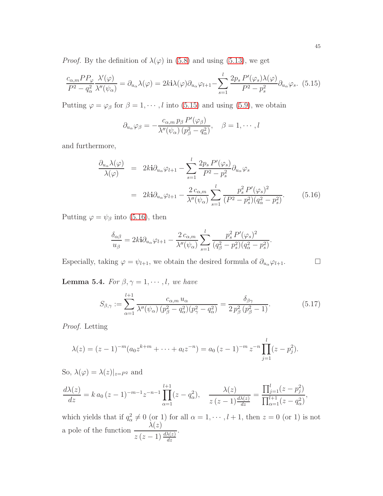*Proof.* By the definition of  $\lambda(\varphi)$  in [\(5.8\)](#page-41-3) and using [\(5.13\)](#page-43-0), we get

<span id="page-44-0"></span>
$$
\frac{c_{\alpha,m}PP_{\varphi}}{P^2 - q_{\alpha}^2} \frac{\lambda'(\varphi)}{\lambda''(\psi_{\alpha})} = \partial_{u_{\alpha}}\lambda(\varphi) = 2k\mathbf{i}\lambda(\varphi)\partial_{u_{\alpha}}\varphi_{l+1} - \sum_{s=1}^{l} \frac{2p_s P'(\varphi_s)\lambda(\varphi)}{P^2 - p_s^2} \partial_{u_{\alpha}}\varphi_s. (5.15)
$$

Putting  $\varphi = \varphi_{\beta}$  for  $\beta = 1, \dots, l$  into [\(5.15\)](#page-44-0) and using [\(5.9\)](#page-42-1), we obtain

$$
\partial_{u_{\alpha}} \varphi_{\beta} = -\frac{c_{\alpha,m} p_{\beta} P'(\varphi_{\beta})}{\lambda''(\psi_{\alpha}) (p_{\beta}^2 - q_{\alpha}^2)}, \quad \beta = 1, \cdots, l
$$

and furthermore,

<span id="page-44-1"></span>
$$
\frac{\partial_{u_{\alpha}}\lambda(\varphi)}{\lambda(\varphi)} = 2ki\partial_{u_{\alpha}}\varphi_{l+1} - \sum_{s=1}^{l} \frac{2p_s P'(\varphi_s)}{P^2 - p_s^2} \partial_{u_{\alpha}}\varphi_s
$$
\n
$$
= 2ki\partial_{u_{\alpha}}\varphi_{l+1} - \frac{2c_{\alpha,m}}{\lambda''(\psi_{\alpha})} \sum_{s=1}^{l} \frac{p_s^2 P'(\varphi_s)^2}{(P^2 - p_s^2)(q_{\alpha}^2 - p_s^2)}.
$$
\n(5.16)

Putting  $\varphi = \psi_{\beta}$  into [\(5.16\)](#page-44-1), then

$$
\frac{\delta_{\alpha\beta}}{u_{\beta}} = 2k \mathbf{i} \partial_{u_{\alpha}} \varphi_{l+1} - \frac{2 c_{\alpha,m}}{\lambda''(\psi_{\alpha})} \sum_{s=1}^{l} \frac{p_s^2 P'(\varphi_s)^2}{(q_{\beta}^2 - p_s^2)(q_{\alpha}^2 - p_s^2)}.
$$

Especially, taking  $\varphi = \psi_{l+1}$ , we obtain the desired formula of  $\partial_{u_{\alpha}} \varphi_{l+1}$ .

**Lemma 5.4.** For  $\beta, \gamma = 1, \dots, l$ , we have

<span id="page-44-2"></span>
$$
S_{\beta,\gamma} := \sum_{\alpha=1}^{l+1} \frac{c_{\alpha,m} u_{\alpha}}{\lambda''(\psi_{\alpha}) \left(p_{\beta}^2 - q_{\alpha}^2\right) \left(p_{\gamma}^2 - q_{\alpha}^2\right)} = \frac{\delta_{\beta\gamma}}{2 \, p_{\beta}^2 \left(p_{\beta}^2 - 1\right)}.\tag{5.17}
$$

Proof. Letting

$$
\lambda(z) = (z-1)^{-m} (a_0 z^{k+m} + \dots + a_l z^{-n}) = a_0 (z-1)^{-m} z^{-n} \prod_{j=1}^l (z - p_j^2).
$$

So,  $\lambda(\varphi) = \lambda(z)|_{z=P^2}$  and

$$
\frac{d\lambda(z)}{dz} = k a_0 (z-1)^{-m-1} z^{-n-1} \prod_{\alpha=1}^{l+1} (z - q_\alpha^2), \quad \frac{\lambda(z)}{z (z-1) \frac{d\lambda(z)}{dz}} = \frac{\prod_{j=1}^l (z - p_j^2)}{\prod_{\alpha=1}^{l+1} (z - q_\alpha^2)},
$$

which yields that if  $q_\alpha^2 \neq 0$  (or 1) for all  $\alpha = 1, \dots, l + 1$ , then  $z = 0$  (or 1) is not a pole of the function  $\frac{\lambda(z)}{\lambda(z)}$  $z(z-1)\frac{d\lambda(z)}{dz}$ .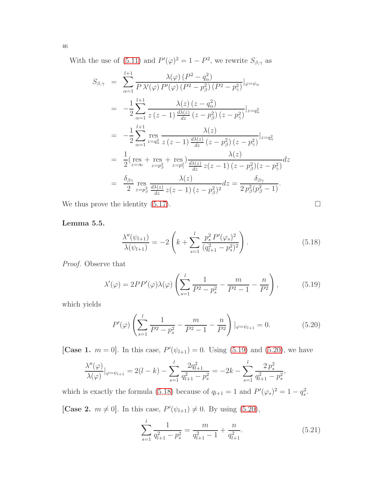With the use of [\(5.11\)](#page-42-2) and  $P'(\varphi)^2 = 1 - P^2$ , we rewrite  $S_{\beta,\gamma}$  as

$$
S_{\beta,\gamma} = \sum_{\alpha=1}^{l+1} \frac{\lambda(\varphi) (P^2 - q_{\alpha}^2)}{P \lambda'(\varphi) P'(\varphi) (P^2 - p_{\beta}^2) (P^2 - p_{\gamma}^2)} |_{\varphi = \psi_{\alpha}}
$$
  
\n
$$
= -\frac{1}{2} \sum_{\alpha=1}^{l+1} \frac{\lambda(z) (z - q_{\alpha}^2)}{z (z - 1) \frac{d\lambda(z)}{dz} (z - p_{\beta}^2) (z - p_{\gamma}^2)} |_{z = q_{\alpha}^2}
$$
  
\n
$$
= -\frac{1}{2} \sum_{\alpha=1}^{l+1} \operatorname{res}_{z = q_{\alpha}^2} \frac{\lambda(z)}{z (z - 1) \frac{d\lambda(z)}{dz} (z - p_{\beta}^2) (z - p_{\gamma}^2)} |_{z = q_{\alpha}^2}
$$
  
\n
$$
= \frac{1}{2} (\operatorname{res} + \operatorname{res} + \operatorname{res}) \frac{\lambda(z)}{z z - p_{\gamma}^2} \frac{\lambda(z)}{dz} z (z - 1) (z - p_{\beta}^2) (z - p_{\gamma}^2)}{z z - p_{\beta}^2} dz
$$
  
\n
$$
= \frac{\delta_{\beta\gamma}}{2} \operatorname{res} \frac{\lambda(z)}{z z - p_{\beta}^2} \frac{\lambda(z)}{dz} z (z - 1) (z - p_{\beta}^2)^2} dz = \frac{\delta_{\beta\gamma}}{2 p_{\beta}^2 (p_{\beta}^2 - 1)}.
$$

We thus prove the identity  $(5.17)$ .

$$
\Box
$$

### Lemma 5.5.

<span id="page-45-2"></span>
$$
\frac{\lambda''(\psi_{l+1})}{\lambda(\psi_{l+1})} = -2\left(k + \sum_{s=1}^{l} \frac{p_s^2 P'(\varphi_s)^2}{(q_{l+1}^2 - p_s^2)^2}\right).
$$
\n(5.18)

Proof. Observe that

<span id="page-45-0"></span>
$$
\lambda'(\varphi) = 2PP'(\varphi)\lambda(\varphi)\left(\sum_{s=1}^{l} \frac{1}{P^2 - p_s^2} - \frac{m}{P^2 - 1} - \frac{n}{P^2}\right),\tag{5.19}
$$

which yields

<span id="page-45-1"></span>
$$
P'(\varphi) \left( \sum_{s=1}^{l} \frac{1}{P^2 - p_s^2} - \frac{m}{P^2 - 1} - \frac{n}{P^2} \right) |_{\varphi = \psi_{l+1}} = 0. \tag{5.20}
$$

[Case 1.  $m = 0$ ]. In this case,  $P'(\psi_{l+1}) = 0$ . Using [\(5.19\)](#page-45-0) and [\(5.20\)](#page-45-1), we have

$$
\frac{\lambda''(\varphi)}{\lambda(\varphi)}|_{\varphi=\psi_{l+1}} = 2(l-k) - \sum_{s=1}^l \frac{2q_{l+1}^2}{q_{l+1}^2 - p_s^2} = -2k - \sum_{s=1}^l \frac{2p_s^2}{q_{l+1}^2 - p_s^2},
$$

which is exactly the formula [\(5.18\)](#page-45-2) because of  $q_{l+1} = 1$  and  $P'(\varphi_s)^2 = 1 - q_s^2$ .

[Case 2.  $m \neq 0$ ]. In this case,  $P'(\psi_{l+1}) \neq 0$ . By using [\(5.20\)](#page-45-1),

<span id="page-45-3"></span>
$$
\sum_{s=1}^{l} \frac{1}{q_{l+1}^2 - p_s^2} = \frac{m}{q_{l+1}^2 - 1} + \frac{n}{q_{l+1}^2}.
$$
\n(5.21)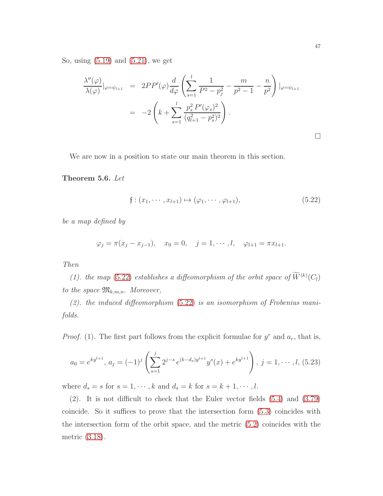So, using [\(5.19\)](#page-45-0) and [\(5.21\)](#page-45-3), we get

$$
\frac{\lambda''(\varphi)}{\lambda(\varphi)}|_{\varphi=\psi_{l+1}} = 2PP'(\varphi)\frac{d}{d\varphi}\left(\sum_{s=1}^{l} \frac{1}{P^2 - p_j^2} - \frac{m}{p^2 - 1} - \frac{n}{p^2}\right)|_{\varphi=\psi_{l+1}}
$$
  
= 
$$
-2\left(k + \sum_{s=1}^{l} \frac{p_s^2 P'(\varphi_s)^2}{(q_{l+1}^2 - p_s^2)^2}\right).
$$

We are now in a position to state our main theorem in this section.

### <span id="page-46-0"></span>Theorem 5.6. Let

<span id="page-46-1"></span>
$$
f: (x_1, \dots, x_{l+1}) \mapsto (\varphi_1, \dots, \varphi_{l+1}),
$$
 (5.22)

be a map defined by

$$
\varphi_j = \pi(x_j - x_{j-1}), \quad x_0 = 0, \quad j = 1, \cdots, l, \quad \varphi_{l+1} = \pi x_{l+1}.
$$

### Then

(1). the map [\(5.22\)](#page-46-1) establishes a diffeomorphism of the orbit space of  $\overline{W}^{(k)}(C_l)$ to the space  $\mathfrak{M}_{k,m,n}$ . Moreover,

 $(2)$ . the induced diffeomorphism  $(5.22)$  is an isomorphism of Frobenius manifolds.

*Proof.* (1). The first part follows from the explicit formulae for  $y^r$  and  $a_r$ , that is,

$$
a_0 = e^{ky^{l+1}}, \ a_j = (-1)^j \left( \sum_{s=1}^j 2^{j-s} e^{(k-d_s)y^{l+1}} y^s(x) + e^{ky^{l+1}} \right), \ j = 1, \cdots, l, (5.23)
$$

where  $d_s = s$  for  $s = 1, \dots, k$  and  $d_s = k$  for  $s = k + 1, \dots, l$ .

(2). It is not difficult to check that the Euler vector fields [\(5.4\)](#page-41-4) and [\(3.79\)](#page-29-1) coincide. So it suffices to prove that the intersection form [\(5.3\)](#page-41-2) coincides with the intersection form of the orbit space, and the metric [\(5.2\)](#page-41-1) coincides with the metric [\(3.18\)](#page-15-2).

 $\Box$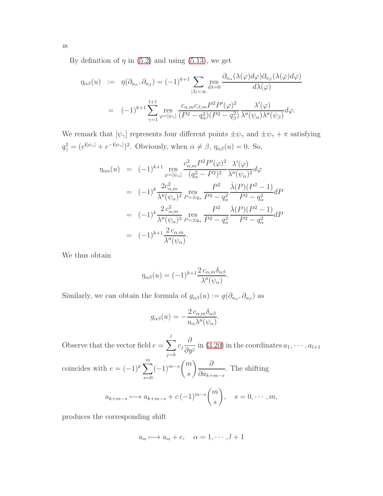By definition of  $\eta$  in [\(5.2\)](#page-41-1) and using [\(5.13\)](#page-43-0), we get

$$
\eta_{\alpha\beta}(u) := \eta(\partial_{u_{\alpha}}, \partial_{u_{\beta}}) = (-1)^{k+1} \sum_{|\lambda| < \infty} \operatorname{res}_{d\lambda = 0} \frac{\partial_{u_{\alpha}}(\lambda(\varphi)d\varphi)\partial_{u_{\beta}}(\lambda(\varphi)d\varphi)}{d\lambda(\varphi)}
$$

$$
= (-1)^{k+1} \sum_{\gamma=1}^{l+1} \operatorname{res}_{\varphi = [\psi_{\gamma}]} \frac{c_{\alpha,m}c_{\beta,m}P^2P'(\varphi)^2}{(P^2 - q_{\alpha}^2)(P^2 - q_{\beta}^2)} \frac{\lambda'(\varphi)}{\lambda''(\psi_{\alpha})\lambda''(\psi_{\beta})} d\varphi.
$$

We remark that  $[\psi_\gamma]$  represents four different points  $\pm\psi_\gamma$  and  $\pm\psi_\gamma+\pi$  satisfying  $q_{\gamma}^2 = (e^{\mathbf{i}[\psi_{\gamma}]} + e^{-\mathbf{i}[\psi_{\gamma}]})^2$ . Obviously, when  $\alpha \neq \beta$ ,  $\eta_{\alpha\beta}(u) = 0$ . So,

$$
\eta_{\alpha\alpha}(u) = (-1)^{k+1} \underset{\varphi=[\psi_{\alpha}]}{\text{res}} \frac{c_{\alpha,m}^2 P^2 P'(\varphi)^2}{(q_{\alpha}^2 - P^2)^2} \frac{\lambda'(\varphi)}{\lambda''(\psi_{\alpha})^2} d\varphi
$$
\n
$$
= (-1)^k \frac{2c_{\alpha,m}^2}{\lambda''(\psi_{\alpha})^2} \underset{P=\pm q_{\alpha}}{\text{res}} \frac{P^2}{P^2 - q_{\alpha}^2} \frac{\dot{\lambda}(P)(P^2 - 1)}{P^2 - q_{\alpha}^2} dP
$$
\n
$$
= (-1)^k \frac{2 c_{\alpha,m}^2}{\lambda''(\psi_{\alpha})^2} \underset{P=\pm q_{\alpha}}{\text{res}} \frac{P^2}{P^2 - q_{\alpha}^2} \frac{\dot{\lambda}(P)(P^2 - 1)}{P^2 - q_{\alpha}^2} dP
$$
\n
$$
= (-1)^{k+1} \frac{2 c_{\alpha,m}}{\lambda''(\psi_{\alpha})}.
$$

We thus obtain

$$
\eta_{\alpha\beta}(u) = (-1)^{k+1} \frac{2 c_{\alpha,m} \delta_{\alpha\beta}}{\lambda''(\psi_{\alpha})}.
$$

Similarly, we can obtain the formula of  $g_{\alpha\beta}(u) := g(\partial_{u_{\alpha}}, \partial_{u_{\beta}})$  as

$$
g_{\alpha\beta}(u) = -\frac{2 c_{\alpha,m} \delta_{\alpha\beta}}{u_{\alpha}\lambda''(\psi_{\alpha})}.
$$

Observe that the vector field  $e = \sum_{n=1}^l$  $j = k$  $c_j$ ∂  $\frac{\partial}{\partial y^j}$  in [\(3.20\)](#page-16-1) in the coordinates  $a_1, \cdots, a_{l+1}$ coincides with  $e = (-1)^k \sum_{i=1}^{m}$  $s=0$  $(-1)^{m-s}$  $\sqrt{m}$ s  $\bigwedge$  ∂  $\partial a_{k+m-s}$ . The shifting  $a_{k+m-s} \longmapsto a_{k+m-s} + c (-1)^{m-s}$  $\sqrt{m}$ s  $\setminus$  $s = 0, \cdots, m$ ,

produces the corresponding shift

$$
u_{\alpha} \longmapsto u_{\alpha} + c, \quad \alpha = 1, \cdots, l+1
$$

48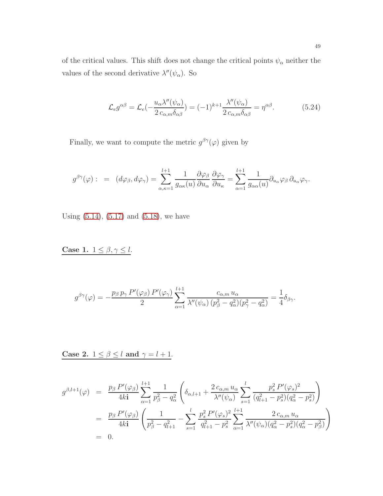of the critical values. This shift does not change the critical points  $\psi_\alpha$  neither the values of the second derivative  $\lambda''(\psi_\alpha)$ . So

<span id="page-48-0"></span>
$$
\mathcal{L}_e g^{\alpha\beta} = \mathcal{L}_e(-\frac{u_\alpha \lambda''(\psi_\alpha)}{2 c_{\alpha,m} \delta_{\alpha\beta}}) = (-1)^{k+1} \frac{\lambda''(\psi_\alpha)}{2 c_{\alpha,m} \delta_{\alpha\beta}} = \eta^{\alpha\beta}.
$$
 (5.24)

Finally, we want to compute the metric  $g^{\beta\gamma}(\varphi)$  given by

$$
g^{\beta\gamma}(\varphi) : = (d\varphi_{\beta}, d\varphi_{\gamma}) = \sum_{\alpha, \kappa=1}^{l+1} \frac{1}{g_{\alpha\kappa}(u)} \frac{\partial \varphi_{\beta}}{\partial u_{\alpha}} \frac{\partial \varphi_{\gamma}}{\partial u_{\kappa}} = \sum_{\alpha=1}^{l+1} \frac{1}{g_{\alpha\alpha}(u)} \partial_{u_{\alpha}} \varphi_{\beta} \partial_{u_{\alpha}} \varphi_{\gamma}.
$$

Using  $(5.14)$ ,  $(5.17)$  and  $(5.18)$ , we have

Case 1.  $1 \le \beta, \gamma \le l$ .

$$
g^{\beta\gamma}(\varphi) = -\frac{p_{\beta} p_{\gamma} P'(\varphi_{\beta}) P'(\varphi_{\gamma})}{2} \sum_{\alpha=1}^{l+1} \frac{c_{\alpha,m} u_{\alpha}}{\lambda''(\psi_{\alpha}) (p_{\beta}^2 - q_{\alpha}^2)(p_{\gamma}^2 - q_{\alpha}^2)} = \frac{1}{4} \delta_{\beta\gamma}.
$$

Case 2.  $1 \le \beta \le l$  and  $\gamma = l + 1$ .

$$
g^{\beta,l+1}(\varphi) = \frac{p_{\beta} P'(\varphi_{\beta})}{4k\mathbf{i}} \sum_{\alpha=1}^{l+1} \frac{1}{p_{\beta}^2 - q_{\alpha}^2} \left( \delta_{\alpha,l+1} + \frac{2 c_{\alpha,m} u_{\alpha}}{\lambda''(\psi_{\alpha})} \sum_{s=1}^l \frac{p_s^2 P'(\varphi_s)^2}{(q_{l+1}^2 - p_s^2)(q_{\alpha}^2 - p_s^2)} \right)
$$
  
= 
$$
\frac{p_{\beta} P'(\varphi_{\beta})}{4k\mathbf{i}} \left( \frac{1}{p_{\beta}^2 - q_{l+1}^2} - \sum_{s=1}^l \frac{p_s^2 P'(\varphi_s)^2}{q_{l+1}^2 - p_s^2} \sum_{\alpha=1}^{l+1} \frac{2 c_{\alpha,m} u_{\alpha}}{\lambda''(\psi_{\alpha})(q_{\alpha}^2 - p_s^2)(q_{\alpha}^2 - p_{\beta}^2)} \right)
$$
  
= 0.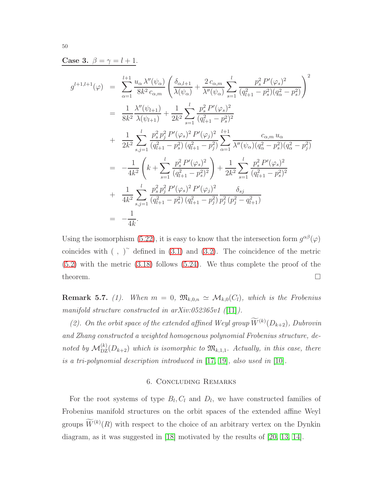Case 3.  $\beta = \gamma = l + 1$ .

$$
g^{l+1,l+1}(\varphi) = \sum_{\alpha=1}^{l+1} \frac{u_{\alpha} \lambda''(\psi_{\alpha})}{8k^2 c_{\alpha,m}} \left( \frac{\delta_{\alpha,l+1}}{\lambda(\psi_{\alpha})} + \frac{2 c_{\alpha,m}}{\lambda''(\psi_{\alpha})} \sum_{s=1}^{l} \frac{p_s^2 P'(\varphi_s)^2}{(q_{l+1}^2 - p_s^2)(q_{\alpha}^2 - p_s^2)} \right)^2
$$
  
\n
$$
= \frac{1}{8k^2} \frac{\lambda''(\psi_{l+1})}{\lambda(\psi_{l+1})} + \frac{1}{2k^2} \sum_{s=1}^{l} \frac{p_s^2 P'(\varphi_s)^2}{(q_{l+1}^2 - p_s^2)^2}
$$
  
\n
$$
+ \frac{1}{2k^2} \sum_{s,j=1}^{l} \frac{p_s^2 p_j^2 P'(\varphi_s)^2 P'(\varphi_j)^2}{(q_{l+1}^2 - p_s^2) (q_{l+1}^2 - p_j^2)} \sum_{\alpha=1}^{l+1} \frac{c_{\alpha,m} u_{\alpha}}{\lambda''(\psi_{\alpha})(q_{\alpha}^2 - p_s^2)(q_{\alpha}^2 - p_j^2)}
$$
  
\n
$$
= -\frac{1}{4k^2} \left( k + \sum_{s=1}^{l} \frac{p_s^2 P'(\varphi_s)^2}{(q_{l+1}^2 - p_s^2)^2} \right) + \frac{1}{2k^2} \sum_{s=1}^{l} \frac{p_s^2 P'(\varphi_s)^2}{(q_{l+1}^2 - p_s^2)^2}
$$
  
\n
$$
+ \frac{1}{4k^2} \sum_{s,j=1}^{l} \frac{p_s^2 p_j^2 P'(\varphi_s)^2 P'(\varphi_j)^2}{(q_{l+1}^2 - p_s^2) (q_{l+1}^2 - p_j^2)} \frac{\delta_{sj}}{p_j^2 (p_j^2 - q_{l+1}^2)}
$$
  
\n
$$
= -\frac{1}{4k}.
$$

Using the isomorphism [\(5.22\)](#page-46-1), it is easy to know that the intersection form  $g^{\alpha\beta}(\varphi)$ coincides with  $( , )^{\sim}$  defined in [\(3.1\)](#page-12-3) and [\(3.2\)](#page-12-4). The coincidence of the metric [\(5.2\)](#page-41-1) with the metric [\(3.18\)](#page-15-2) follows [\(5.24\)](#page-48-0). We thus complete the proof of the theorem.  $\Box$ 

**Remark 5.7.** (1). When  $m = 0$ ,  $\mathfrak{M}_{k,0,n} \simeq \mathcal{M}_{k,0}(C_l)$ , which is the Frobenius manifold structure constructed in arXiv:052365v1 ([\[11\]](#page-51-8)).

(2). On the orbit space of the extended affined Weyl group  $W^{(k)}(D_{k+2})$ , Dubrovin and Zhang constructed a weighted homogenous polynomial Frobenius structure, denoted by  $\mathcal{M}_{\text{DZ}}^{(k)}(D_{k+2})$  which is isomorphic to  $\mathfrak{M}_{k,1,1}$ . Actually, in this case, there is a tri-polynomial description introduced in [\[17,](#page-51-9) [19\]](#page-51-10), also used in [\[10\]](#page-51-11).

### 6. Concluding Remarks

<span id="page-49-0"></span>For the root systems of type  $B_l, C_l$  and  $D_l$ , we have constructed families of Frobenius manifold structures on the orbit spaces of the extended affine Weyl groups  $W^{(k)}(R)$  with respect to the choice of an arbitrary vertex on the Dynkin diagram, as it was suggested in [\[18\]](#page-51-2) motivated by the results of [\[20,](#page-52-0) [13,](#page-51-3) [14\]](#page-51-4).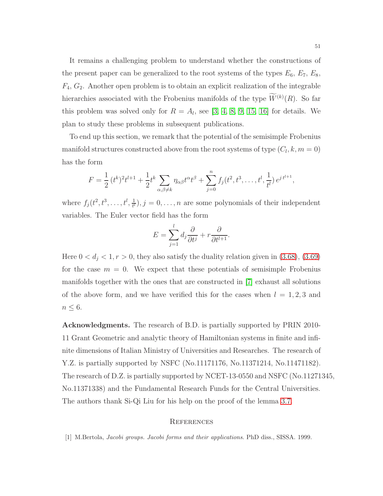It remains a challenging problem to understand whether the constructions of the present paper can be generalized to the root systems of the types  $E_6$ ,  $E_7$ ,  $E_8$ ,  $F_4, G_2$ . Another open problem is to obtain an explicit realization of the integrable hierarchies associated with the Frobenius manifolds of the type  $W^{(k)}(R)$ . So far this problem was solved only for  $R = A<sub>l</sub>$ , see [\[3,](#page-51-12) [4,](#page-51-13) [8,](#page-51-14) [9,](#page-51-15) [15,](#page-51-16) [16\]](#page-51-17) for details. We plan to study these problems in subsequent publications.

To end up this section, we remark that the potential of the semisimple Frobenius manifold structures constructed above from the root systems of type  $(C_l, k, m = 0)$ has the form

$$
F = \frac{1}{2} (t^k)^2 t^{l+1} + \frac{1}{2} t^k \sum_{\alpha,\beta \neq k} \eta_{\alpha\beta} t^{\alpha} t^{\beta} + \sum_{j=0}^n f_j(t^2, t^3, \dots, t^l, \frac{1}{t^l}) e^{j t^{l+1}},
$$

where  $f_j(t^2, t^3, \ldots, t^l, \frac{1}{t^l})$  $\frac{1}{t^{t}}$ ,  $j = 0, \ldots, n$  are some polynomials of their independent variables. The Euler vector field has the form

$$
E = \sum_{j=1}^{l} d_j \frac{\partial}{\partial t^j} + r \frac{\partial}{\partial t^{l+1}}.
$$

Here  $0 < d_j < 1, r > 0$ , they also satisfy the duality relation given in [\(3.68\)](#page-27-1), [\(3.69\)](#page-27-2) for the case  $m = 0$ . We expect that these potentials of semisimple Frobenius manifolds together with the ones that are constructed in [\[7\]](#page-51-0) exhaust all solutions of the above form, and we have verified this for the cases when  $l = 1, 2, 3$  and  $n \leq 6$ .

Acknowledgments. The research of B.D. is partially supported by PRIN 2010- 11 Grant Geometric and analytic theory of Hamiltonian systems in finite and infinite dimensions of Italian Ministry of Universities and Researches. The research of Y.Z. is partially supported by NSFC (No.11171176, No.11371214, No.11471182). The research of D.Z. is partially supported by NCET-13-0550 and NSFC (No.11271345, No.11371338) and the Fundamental Research Funds for the Central Universities. The authors thank Si-Qi Liu for his help on the proof of the lemma [3.7.](#page-19-3)

#### <span id="page-50-0"></span>**REFERENCES**

<span id="page-50-1"></span>[1] M.Bertola, Jacobi groups. Jacobi forms and their applications. PhD diss., SISSA. 1999.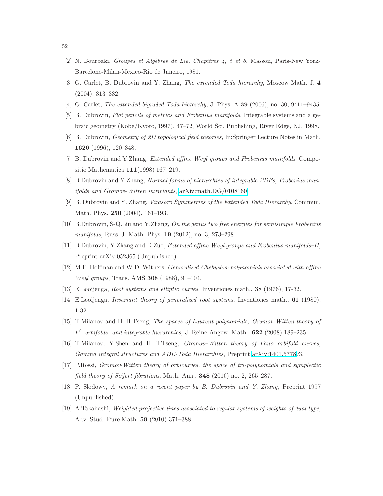- <span id="page-51-12"></span><span id="page-51-1"></span>[2] N. Bourbaki, Groupes et Algèbres de Lie, Chapitres  $4, 5$  et 6, Masson, Paris-New York-Barcelone-Milan-Mexico-Rio de Janeiro, 1981.
- <span id="page-51-13"></span>[3] G. Carlet, B. Dubrovin and Y. Zhang, The extended Toda hierarchy, Moscow Math. J. 4 (2004), 313–332.
- <span id="page-51-7"></span>[4] G. Carlet, *The extended bigraded Toda hierarchy*, J. Phys. A **39** (2006), no. 30, 9411–9435.
- <span id="page-51-6"></span>[5] B. Dubrovin, Flat pencils of metrics and Frobenius manifolds, Integrable systems and algebraic geometry (Kobe/Kyoto, 1997), 47–72, World Sci. Publishing, River Edge, NJ, 1998.
- <span id="page-51-0"></span>[6] B. Dubrovin, Geometry of 2D topological field theories, In:Springer Lecture Notes in Math. 1620 (1996), 120–348.
- <span id="page-51-14"></span>[7] B. Dubrovin and Y.Zhang, Extended affine Weyl groups and Frobenius mainfolds, Compositio Mathematica 111(1998) 167–219.
- <span id="page-51-15"></span>[8] B.Dubrovin and Y.Zhang, Normal forms of hierarchies of integrable PDEs, Frobenius manifolds and Gromov-Witten invariants, [arXiv:math.DG/0108160.](http://arxiv.org/abs/math/0108160)
- <span id="page-51-11"></span>[9] B. Dubrovin and Y. Zhang, Virasoro Symmetries of the Extended Toda Hierarchy, Commun. Math. Phys. 250 (2004), 161–193.
- <span id="page-51-8"></span>[10] B.Dubrovin, S-Q.Liu and Y.Zhang, On the genus two free energies for semisimple Frobenius manifolds, Russ. J. Math. Phys. 19 (2012), no. 3, 273–298.
- <span id="page-51-5"></span>[11] B.Dubrovin, Y.Zhang and D.Zuo, Extended affine Weyl groups and Frobenius manifolds–II, Preprint arXiv:052365 (Unpublished).
- <span id="page-51-3"></span>[12] M.E. Hoffman and W.D. Withers, Generalized Chebyshev polynomials associated with affine Weyl groups, Trans. AMS 308 (1988), 91–104.
- <span id="page-51-4"></span>[13] E.Looijenga, Root systems and elliptic curves, Inventiones math., 38 (1976), 17-32.
- <span id="page-51-16"></span>[14] E.Looijenga, Invariant theory of generalized root systems, Inventiones math., 61 (1980), 1-32.
- <span id="page-51-17"></span>[15] T.Milanov and H.-H.Tseng, The spaces of Laurent polynomials, Gromov-Witten theory of  $P<sup>1</sup>$ -orbifolds, and integrable hierarchies, J. Reine Angew. Math., **622** (2008) 189–235.
- <span id="page-51-9"></span>[16] T.Milanov, Y.Shen and H.-H.Tseng, *Gromov-Witten theory of Fano orbifold curves*, Gamma integral structures and ADE-Toda Hierarchies, Preprint [arXiv:1401.5778v](http://arxiv.org/abs/1401.5778)3.
- <span id="page-51-2"></span>[17] P.Rossi, Gromov-Witten theory of orbicurves, the space of tri-polynomials and symplectic field theory of Seifert fibrations, Math. Ann., 348 (2010) no. 2, 265–287.
- <span id="page-51-10"></span>[18] P. Slodowy, A remark on a recent paper by B. Dubrovin and Y. Zhang, Preprint 1997 (Unpublished).
- [19] A.Takahashi, Weighted projective lines associated to regular systems of weights of dual type, Adv. Stud. Pure Math. 59 (2010) 371–388.